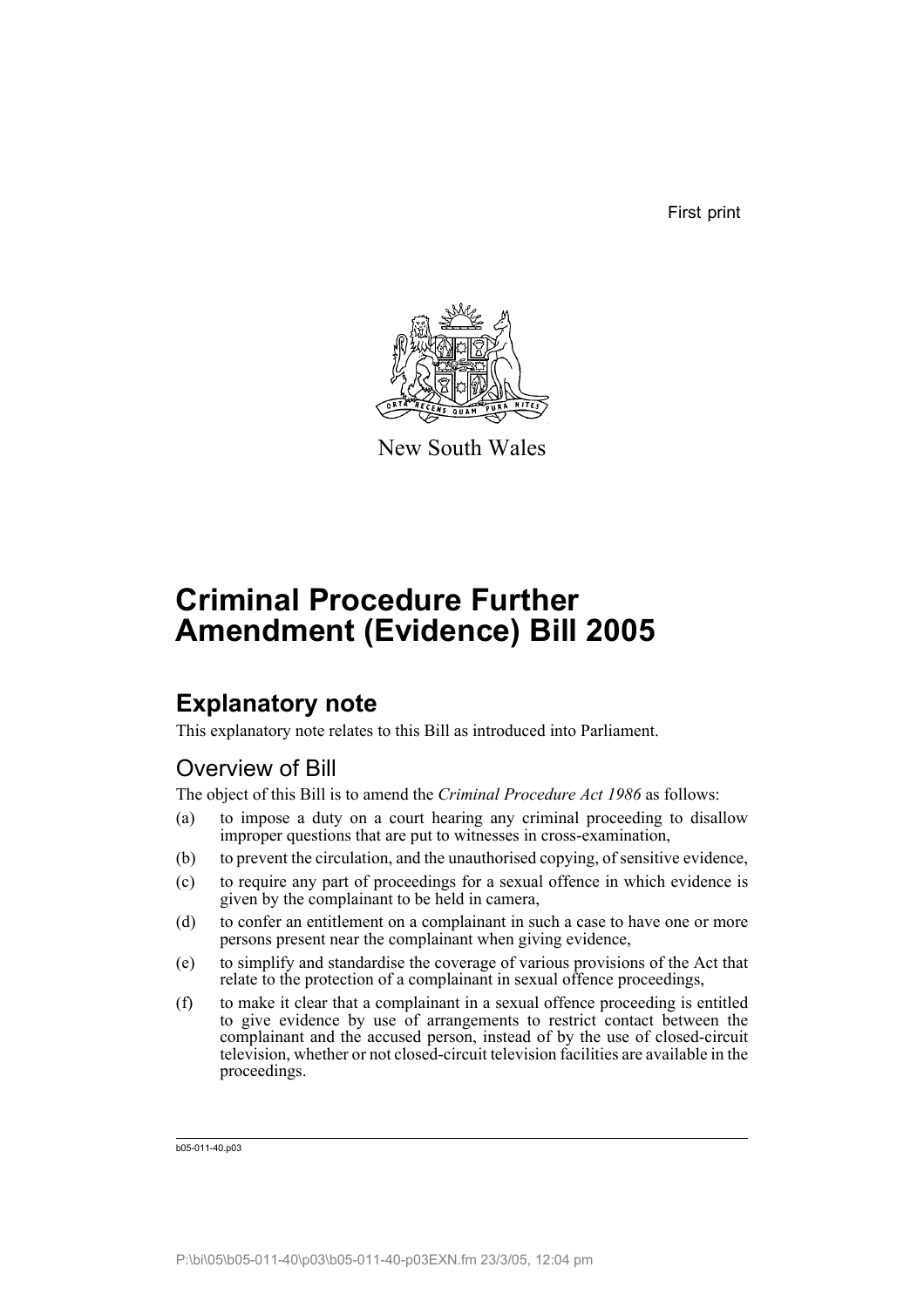First print



New South Wales

# **Criminal Procedure Further Amendment (Evidence) Bill 2005**

# **Explanatory note**

This explanatory note relates to this Bill as introduced into Parliament.

# Overview of Bill

The object of this Bill is to amend the *Criminal Procedure Act 1986* as follows:

- (a) to impose a duty on a court hearing any criminal proceeding to disallow improper questions that are put to witnesses in cross-examination,
- (b) to prevent the circulation, and the unauthorised copying, of sensitive evidence,
- (c) to require any part of proceedings for a sexual offence in which evidence is given by the complainant to be held in camera,
- (d) to confer an entitlement on a complainant in such a case to have one or more persons present near the complainant when giving evidence,
- (e) to simplify and standardise the coverage of various provisions of the Act that relate to the protection of a complainant in sexual offence proceedings,
- (f) to make it clear that a complainant in a sexual offence proceeding is entitled to give evidence by use of arrangements to restrict contact between the complainant and the accused person, instead of by the use of closed-circuit television, whether or not closed-circuit television facilities are available in the proceedings.

b05-011-40.p03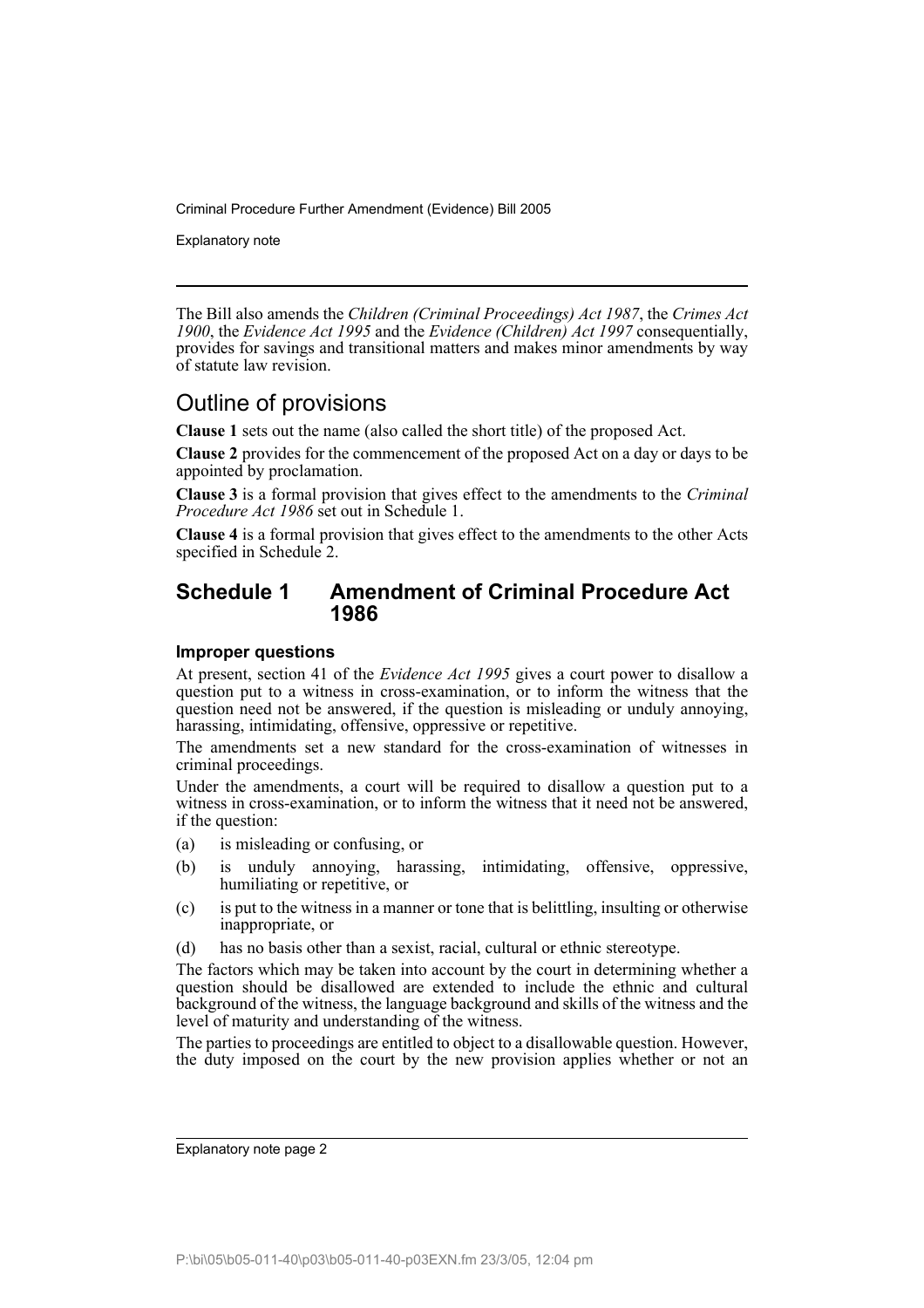Explanatory note

The Bill also amends the *Children (Criminal Proceedings) Act 1987*, the *Crimes Act 1900*, the *Evidence Act 1995* and the *Evidence (Children) Act 1997* consequentially, provides for savings and transitional matters and makes minor amendments by way of statute law revision.

# Outline of provisions

**Clause 1** sets out the name (also called the short title) of the proposed Act.

**Clause 2** provides for the commencement of the proposed Act on a day or days to be appointed by proclamation.

**Clause 3** is a formal provision that gives effect to the amendments to the *Criminal Procedure Act 1986* set out in Schedule 1.

**Clause 4** is a formal provision that gives effect to the amendments to the other Acts specified in Schedule 2.

# **Schedule 1 Amendment of Criminal Procedure Act 1986**

## **Improper questions**

At present, section 41 of the *Evidence Act 1995* gives a court power to disallow a question put to a witness in cross-examination, or to inform the witness that the question need not be answered, if the question is misleading or unduly annoying, harassing, intimidating, offensive, oppressive or repetitive.

The amendments set a new standard for the cross-examination of witnesses in criminal proceedings.

Under the amendments, a court will be required to disallow a question put to a witness in cross-examination, or to inform the witness that it need not be answered, if the question:

- (a) is misleading or confusing, or
- (b) is unduly annoying, harassing, intimidating, offensive, oppressive, humiliating or repetitive, or
- (c) is put to the witness in a manner or tone that is belittling, insulting or otherwise inappropriate, or
- (d) has no basis other than a sexist, racial, cultural or ethnic stereotype.

The factors which may be taken into account by the court in determining whether a question should be disallowed are extended to include the ethnic and cultural background of the witness, the language background and skills of the witness and the level of maturity and understanding of the witness.

The parties to proceedings are entitled to object to a disallowable question. However, the duty imposed on the court by the new provision applies whether or not an

Explanatory note page 2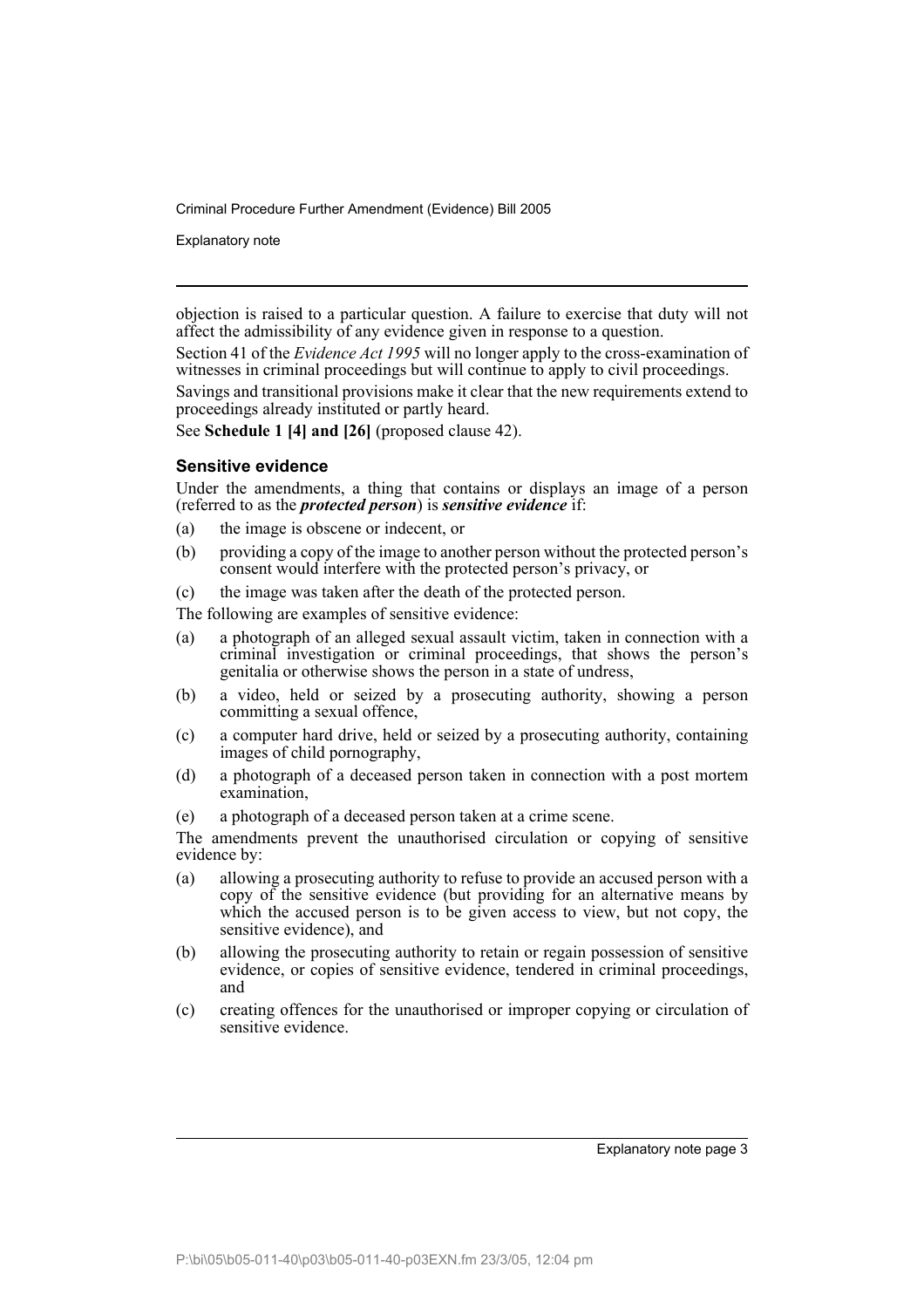Explanatory note

objection is raised to a particular question. A failure to exercise that duty will not affect the admissibility of any evidence given in response to a question.

Section 41 of the *Evidence Act 1995* will no longer apply to the cross-examination of witnesses in criminal proceedings but will continue to apply to civil proceedings.

Savings and transitional provisions make it clear that the new requirements extend to proceedings already instituted or partly heard.

See **Schedule 1 [4] and [26]** (proposed clause 42).

# **Sensitive evidence**

Under the amendments, a thing that contains or displays an image of a person (referred to as the *protected person*) is *sensitive evidence* if:

- (a) the image is obscene or indecent, or
- (b) providing a copy of the image to another person without the protected person's consent would interfere with the protected person's privacy, or
- (c) the image was taken after the death of the protected person.

The following are examples of sensitive evidence:

- (a) a photograph of an alleged sexual assault victim, taken in connection with a criminal investigation or criminal proceedings, that shows the person's genitalia or otherwise shows the person in a state of undress,
- (b) a video, held or seized by a prosecuting authority, showing a person committing a sexual offence,
- (c) a computer hard drive, held or seized by a prosecuting authority, containing images of child pornography,
- (d) a photograph of a deceased person taken in connection with a post mortem examination,
- (e) a photograph of a deceased person taken at a crime scene.

The amendments prevent the unauthorised circulation or copying of sensitive evidence by:

- (a) allowing a prosecuting authority to refuse to provide an accused person with a copy of the sensitive evidence (but providing for an alternative means by which the accused person is to be given access to view, but not copy, the sensitive evidence), and
- (b) allowing the prosecuting authority to retain or regain possession of sensitive evidence, or copies of sensitive evidence, tendered in criminal proceedings, and
- (c) creating offences for the unauthorised or improper copying or circulation of sensitive evidence.

Explanatory note page 3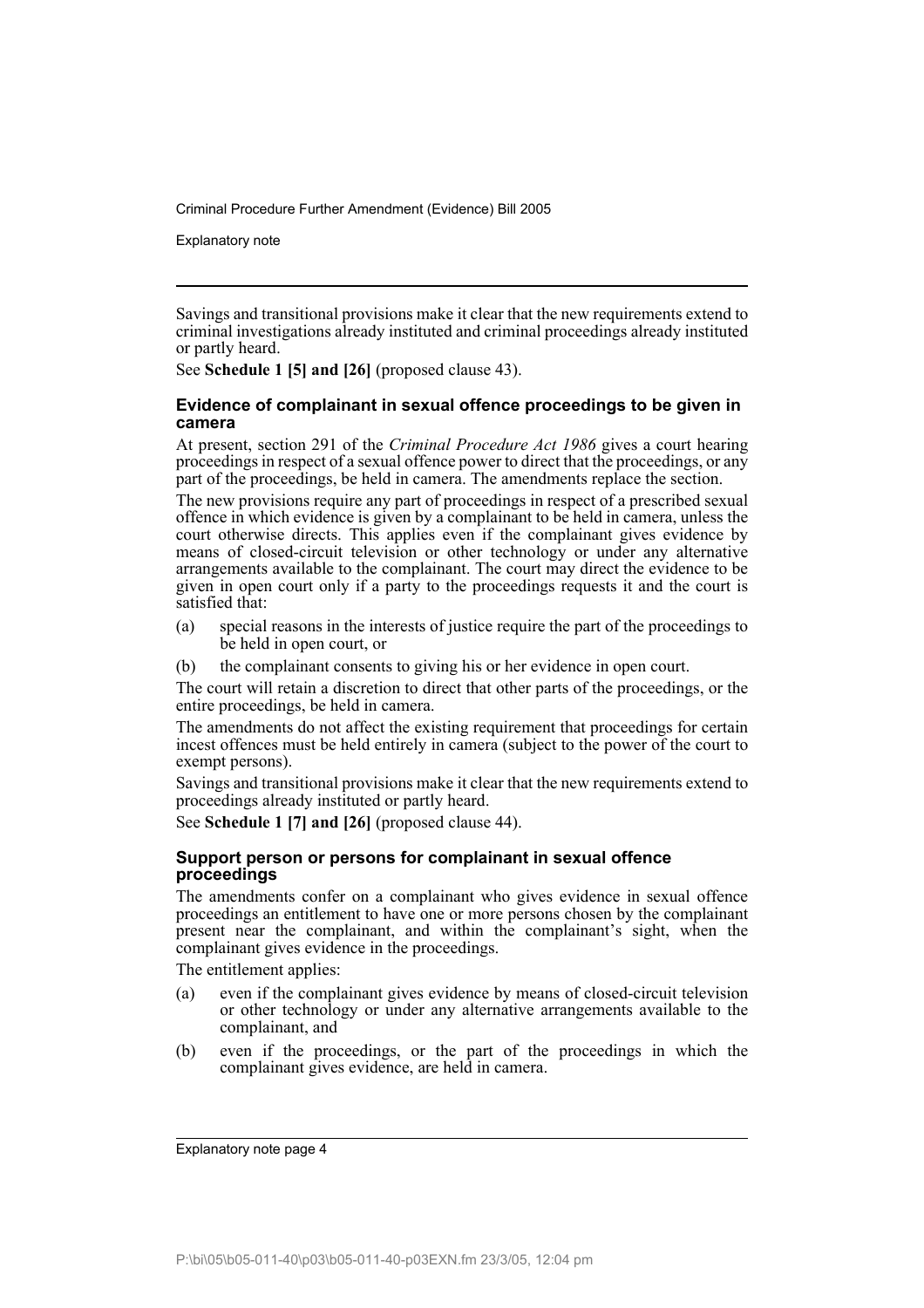Explanatory note

Savings and transitional provisions make it clear that the new requirements extend to criminal investigations already instituted and criminal proceedings already instituted or partly heard.

See **Schedule 1 [5] and [26]** (proposed clause 43).

# **Evidence of complainant in sexual offence proceedings to be given in camera**

At present, section 291 of the *Criminal Procedure Act 1986* gives a court hearing proceedings in respect of a sexual offence power to direct that the proceedings, or any part of the proceedings, be held in camera. The amendments replace the section.

The new provisions require any part of proceedings in respect of a prescribed sexual offence in which evidence is given by a complainant to be held in camera, unless the court otherwise directs. This applies even if the complainant gives evidence by means of closed-circuit television or other technology or under any alternative arrangements available to the complainant. The court may direct the evidence to be given in open court only if a party to the proceedings requests it and the court is satisfied that:

- (a) special reasons in the interests of justice require the part of the proceedings to be held in open court, or
- (b) the complainant consents to giving his or her evidence in open court.

The court will retain a discretion to direct that other parts of the proceedings, or the entire proceedings, be held in camera.

The amendments do not affect the existing requirement that proceedings for certain incest offences must be held entirely in camera (subject to the power of the court to exempt persons).

Savings and transitional provisions make it clear that the new requirements extend to proceedings already instituted or partly heard.

See **Schedule 1 [7] and [26]** (proposed clause 44).

# **Support person or persons for complainant in sexual offence proceedings**

The amendments confer on a complainant who gives evidence in sexual offence proceedings an entitlement to have one or more persons chosen by the complainant present near the complainant, and within the complainant's sight, when the complainant gives evidence in the proceedings.

The entitlement applies:

- (a) even if the complainant gives evidence by means of closed-circuit television or other technology or under any alternative arrangements available to the complainant, and
- (b) even if the proceedings, or the part of the proceedings in which the complainant gives evidence, are held in camera.

Explanatory note page 4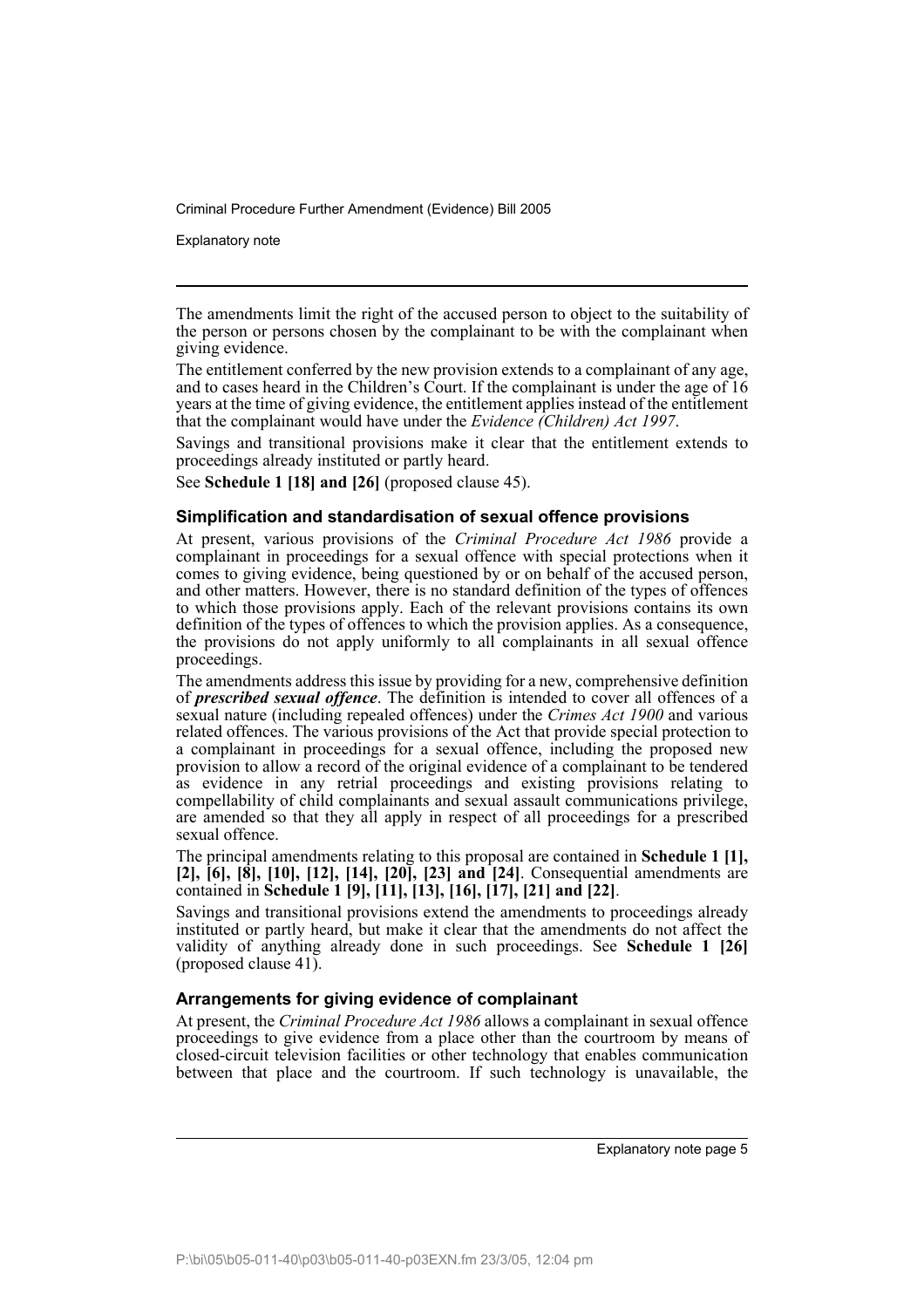Explanatory note

The amendments limit the right of the accused person to object to the suitability of the person or persons chosen by the complainant to be with the complainant when giving evidence.

The entitlement conferred by the new provision extends to a complainant of any age, and to cases heard in the Children's Court. If the complainant is under the age of 16 years at the time of giving evidence, the entitlement applies instead of the entitlement that the complainant would have under the *Evidence (Children) Act 1997*.

Savings and transitional provisions make it clear that the entitlement extends to proceedings already instituted or partly heard.

See **Schedule 1 [18] and [26]** (proposed clause 45).

# **Simplification and standardisation of sexual offence provisions**

At present, various provisions of the *Criminal Procedure Act 1986* provide a complainant in proceedings for a sexual offence with special protections when it comes to giving evidence, being questioned by or on behalf of the accused person, and other matters. However, there is no standard definition of the types of offences to which those provisions apply. Each of the relevant provisions contains its own definition of the types of offences to which the provision applies. As a consequence, the provisions do not apply uniformly to all complainants in all sexual offence proceedings.

The amendments address this issue by providing for a new, comprehensive definition of *prescribed sexual offence*. The definition is intended to cover all offences of a sexual nature (including repealed offences) under the *Crimes Act 1900* and various related offences. The various provisions of the Act that provide special protection to a complainant in proceedings for a sexual offence, including the proposed new provision to allow a record of the original evidence of a complainant to be tendered as evidence in any retrial proceedings and existing provisions relating to compellability of child complainants and sexual assault communications privilege, are amended so that they all apply in respect of all proceedings for a prescribed sexual offence.

The principal amendments relating to this proposal are contained in **Schedule 1 [1], [2], [6], [8], [10], [12], [14], [20], [23] and [24]**. Consequential amendments are contained in **Schedule 1 [9], [11], [13], [16], [17], [21] and [22]**.

Savings and transitional provisions extend the amendments to proceedings already instituted or partly heard, but make it clear that the amendments do not affect the validity of anything already done in such proceedings. See **Schedule 1 [26]** (proposed clause 41).

## **Arrangements for giving evidence of complainant**

At present, the *Criminal Procedure Act 1986* allows a complainant in sexual offence proceedings to give evidence from a place other than the courtroom by means of closed-circuit television facilities or other technology that enables communication between that place and the courtroom. If such technology is unavailable, the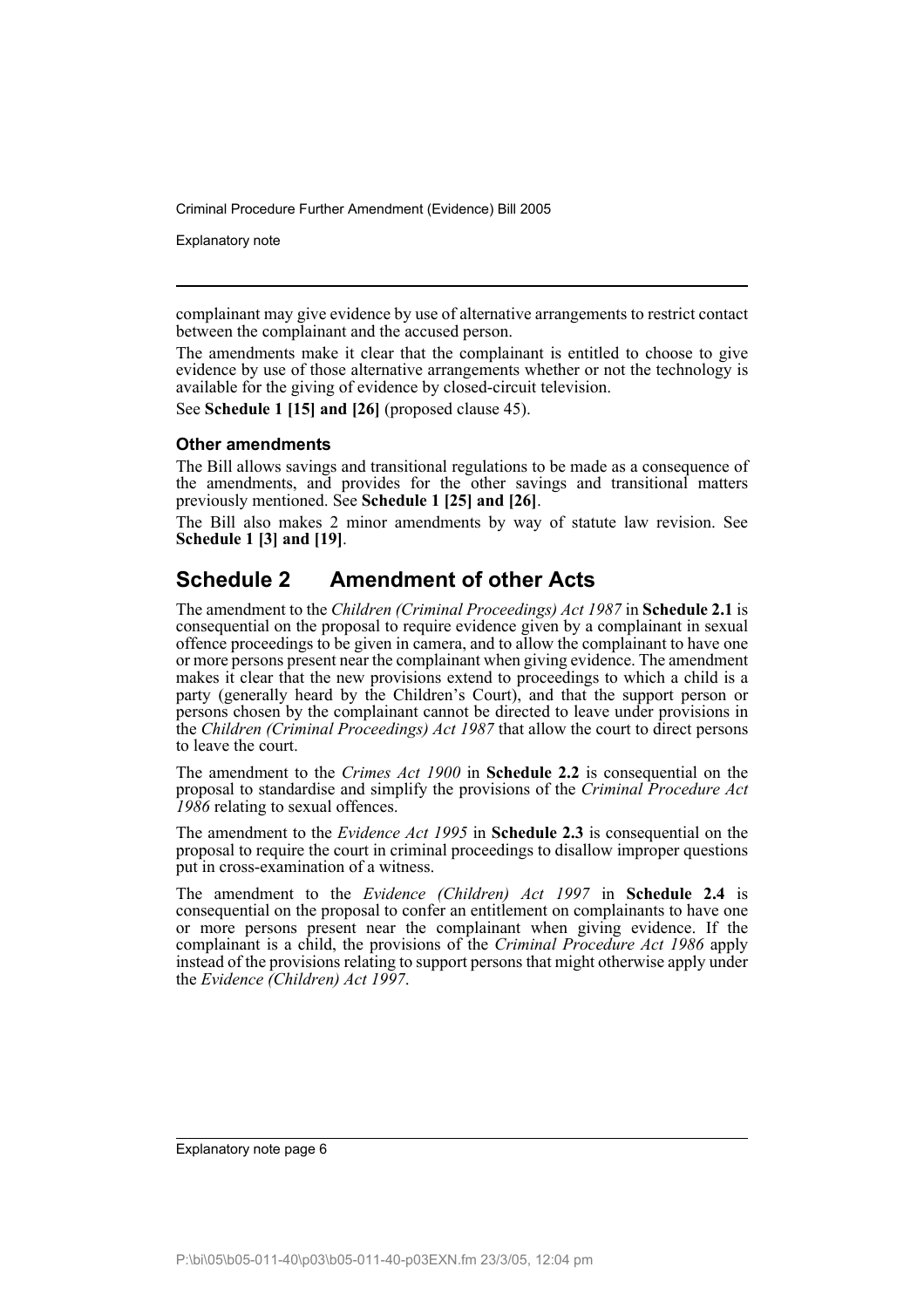Explanatory note

complainant may give evidence by use of alternative arrangements to restrict contact between the complainant and the accused person.

The amendments make it clear that the complainant is entitled to choose to give evidence by use of those alternative arrangements whether or not the technology is available for the giving of evidence by closed-circuit television.

See **Schedule 1 [15] and [26]** (proposed clause 45).

# **Other amendments**

The Bill allows savings and transitional regulations to be made as a consequence of the amendments, and provides for the other savings and transitional matters previously mentioned. See **Schedule 1 [25] and [26]**.

The Bill also makes 2 minor amendments by way of statute law revision. See **Schedule 1 [3] and [19]**.

# **Schedule 2 Amendment of other Acts**

The amendment to the *Children (Criminal Proceedings) Act 1987* in **Schedule 2.1** is consequential on the proposal to require evidence given by a complainant in sexual offence proceedings to be given in camera, and to allow the complainant to have one or more persons present near the complainant when giving evidence. The amendment makes it clear that the new provisions extend to proceedings to which a child is a party (generally heard by the Children's Court), and that the support person or persons chosen by the complainant cannot be directed to leave under provisions in the *Children (Criminal Proceedings) Act 1987* that allow the court to direct persons to leave the court.

The amendment to the *Crimes Act 1900* in **Schedule 2.2** is consequential on the proposal to standardise and simplify the provisions of the *Criminal Procedure Act 1986* relating to sexual offences.

The amendment to the *Evidence Act 1995* in **Schedule 2.3** is consequential on the proposal to require the court in criminal proceedings to disallow improper questions put in cross-examination of a witness.

The amendment to the *Evidence (Children) Act 1997* in **Schedule 2.4** is consequential on the proposal to confer an entitlement on complainants to have one or more persons present near the complainant when giving evidence. If the complainant is a child, the provisions of the *Criminal Procedure Act 1986* apply instead of the provisions relating to support persons that might otherwise apply under the *Evidence (Children) Act 1997*.

Explanatory note page 6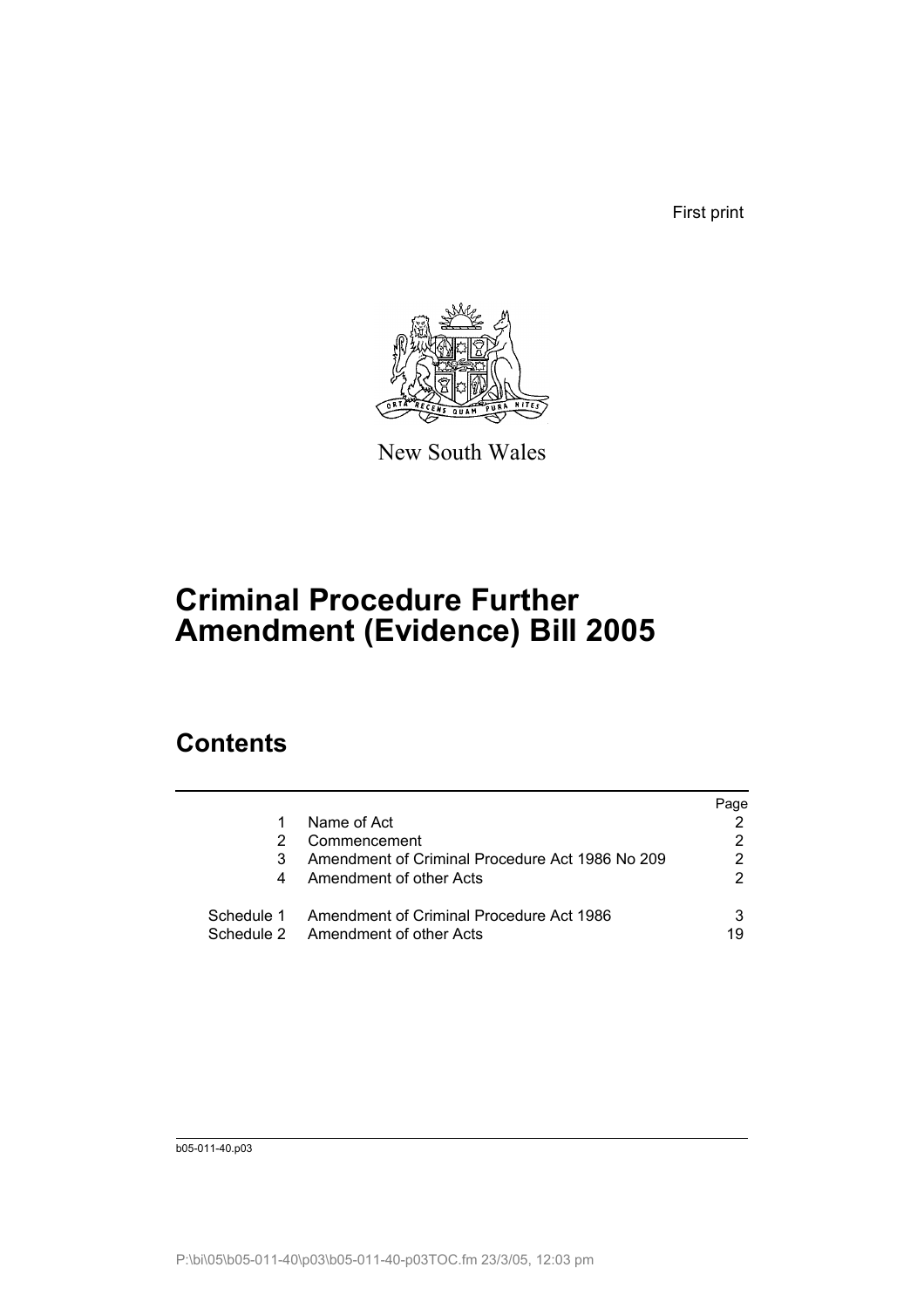First print



New South Wales

# **Criminal Procedure Further Amendment (Evidence) Bill 2005**

# **Contents**

|   |                                                     | ⊃aqe |
|---|-----------------------------------------------------|------|
|   | Name of Act                                         |      |
|   | Commencement                                        | 2    |
|   | Amendment of Criminal Procedure Act 1986 No 209     | 2    |
| 4 | Amendment of other Acts                             | 2    |
|   | Schedule 1 Amendment of Criminal Procedure Act 1986 | 3    |
|   | Schedule 2 Amendment of other Acts                  | 19   |

b05-011-40.p03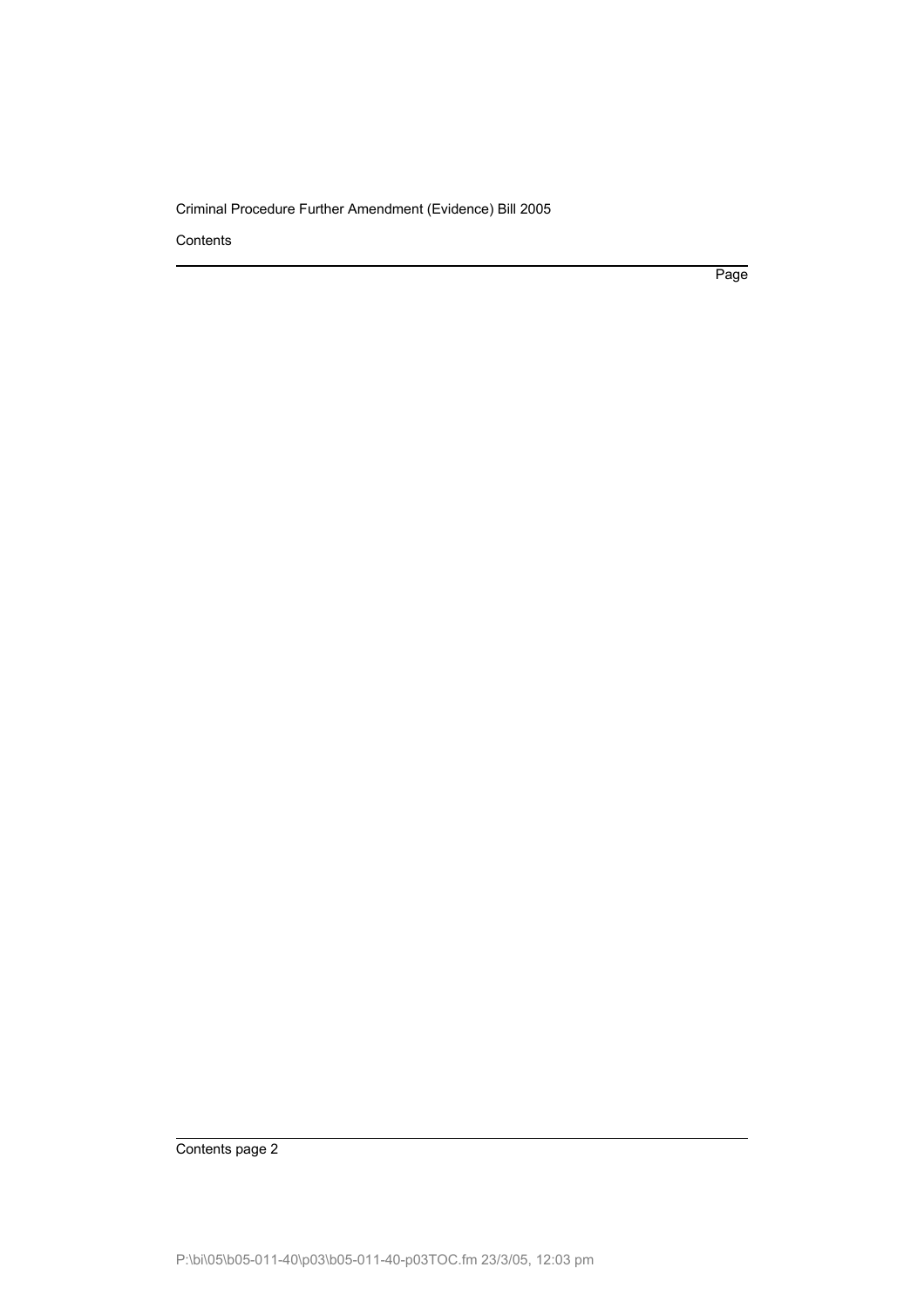**Contents** 

Page

Contents page 2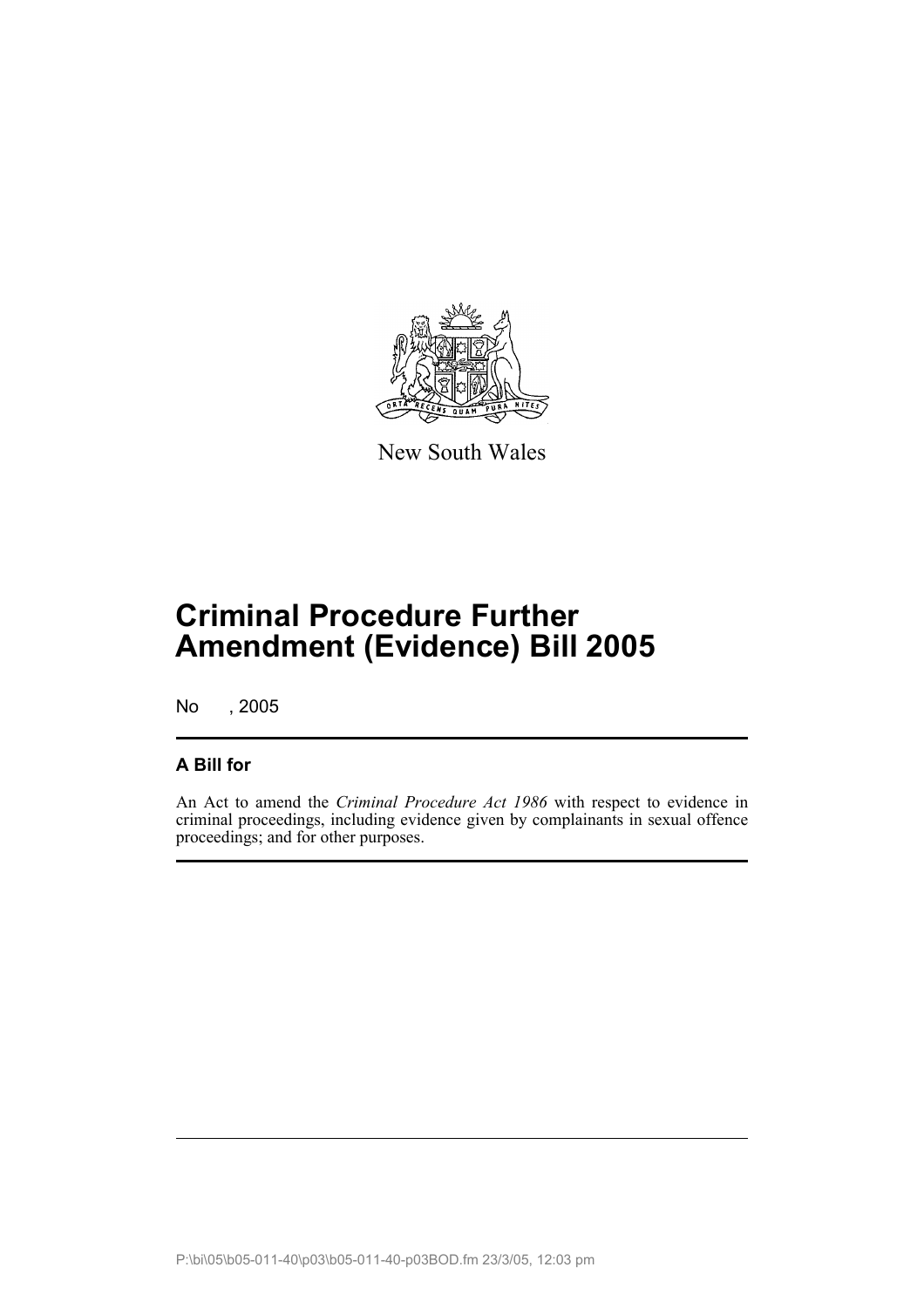

New South Wales

# **Criminal Procedure Further Amendment (Evidence) Bill 2005**

No , 2005

# **A Bill for**

An Act to amend the *Criminal Procedure Act 1986* with respect to evidence in criminal proceedings, including evidence given by complainants in sexual offence proceedings; and for other purposes.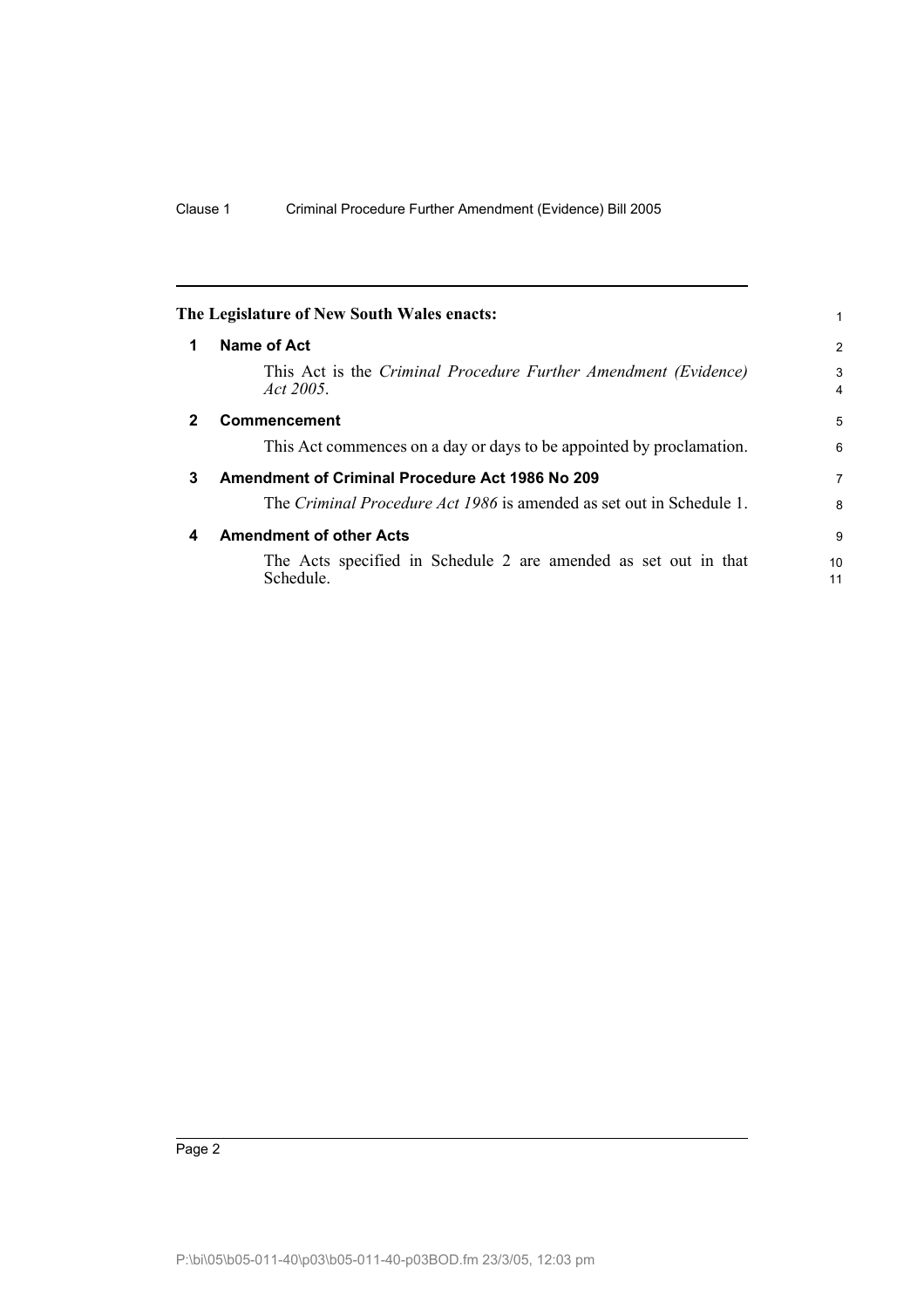|              | The Legislature of New South Wales enacts:                                   |                |
|--------------|------------------------------------------------------------------------------|----------------|
| 1            | Name of Act                                                                  | $\overline{2}$ |
|              | This Act is the Criminal Procedure Further Amendment (Evidence)<br>Act 2005. | 3<br>4         |
| $\mathbf{2}$ | <b>Commencement</b>                                                          | 5              |
|              | This Act commences on a day or days to be appointed by proclamation.         | 6              |
| 3            | Amendment of Criminal Procedure Act 1986 No 209                              | 7              |
|              | The <i>Criminal Procedure Act 1986</i> is amended as set out in Schedule 1.  | 8              |
| 4            | <b>Amendment of other Acts</b>                                               | 9              |
|              | The Acts specified in Schedule 2 are amended as set out in that<br>Schedule. | 10<br>11       |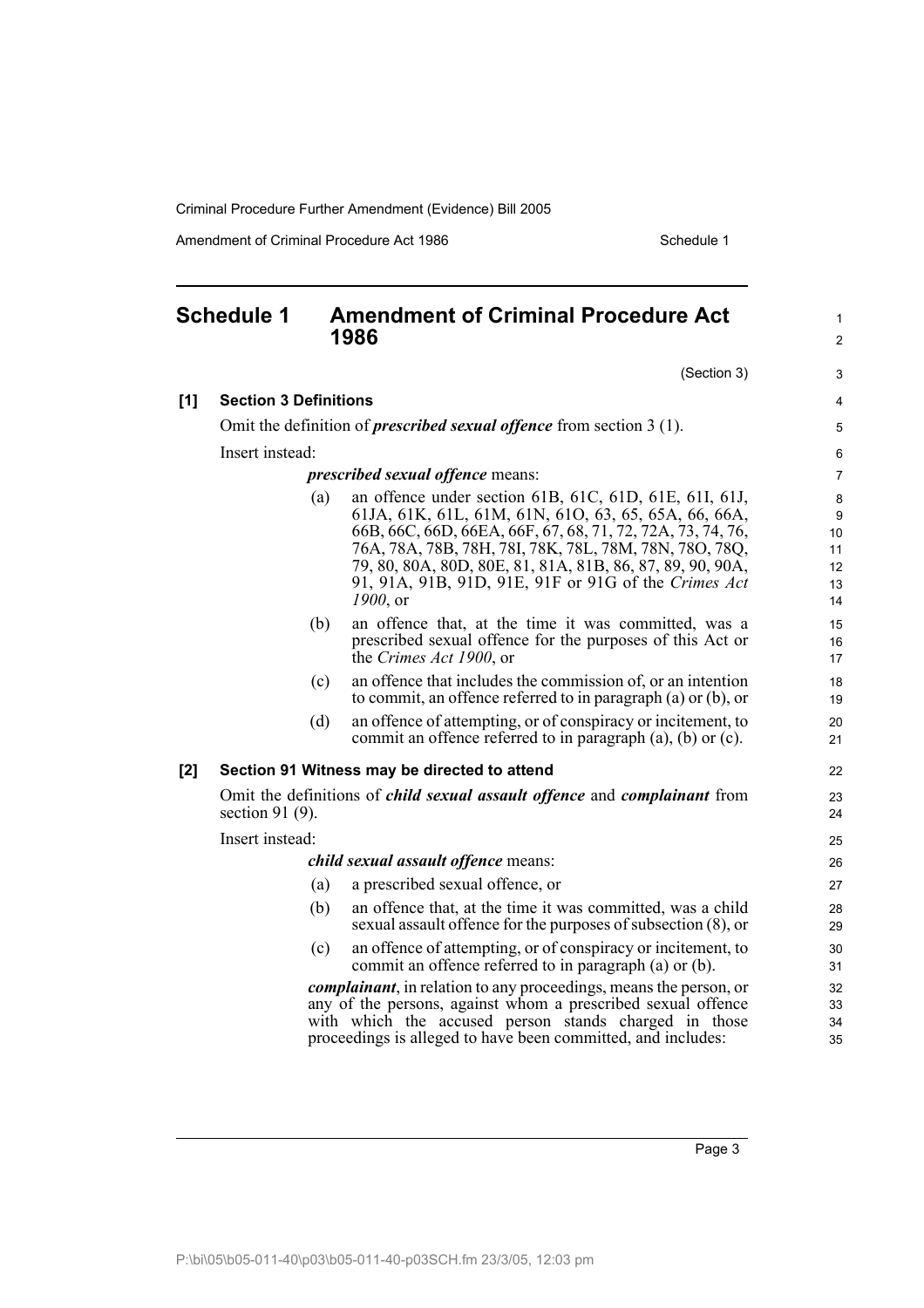Amendment of Criminal Procedure Act 1986 Schedule 1

|     | <b>Schedule 1</b>            |     | <b>Amendment of Criminal Procedure Act</b><br>1986                                                                                                                                                                                                                                                                                                                         | 1<br>$\overline{2}$                  |
|-----|------------------------------|-----|----------------------------------------------------------------------------------------------------------------------------------------------------------------------------------------------------------------------------------------------------------------------------------------------------------------------------------------------------------------------------|--------------------------------------|
|     |                              |     | (Section 3)                                                                                                                                                                                                                                                                                                                                                                | 3                                    |
| [1] | <b>Section 3 Definitions</b> |     |                                                                                                                                                                                                                                                                                                                                                                            | 4                                    |
|     |                              |     | Omit the definition of <i>prescribed sexual offence</i> from section 3 (1).                                                                                                                                                                                                                                                                                                | 5                                    |
|     | Insert instead:              |     |                                                                                                                                                                                                                                                                                                                                                                            | 6                                    |
|     |                              |     | <i>prescribed sexual offence means:</i>                                                                                                                                                                                                                                                                                                                                    | 7                                    |
|     |                              | (a) | an offence under section 61B, 61C, 61D, 61E, 61I, 61J,<br>61JA, 61K, 61L, 61M, 61N, 61O, 63, 65, 65A, 66, 66A,<br>66B, 66C, 66D, 66EA, 66F, 67, 68, 71, 72, 72A, 73, 74, 76,<br>76A, 78A, 78B, 78H, 78I, 78K, 78L, 78M, 78N, 78O, 78Q,<br>79, 80, 80A, 80D, 80E, 81, 81A, 81B, 86, 87, 89, 90, 90A,<br>91, 91A, 91B, 91D, 91E, 91F or 91G of the Crimes Act<br>$1900$ , or | 8<br>9<br>10<br>11<br>12<br>13<br>14 |
|     |                              | (b) | an offence that, at the time it was committed, was a<br>prescribed sexual offence for the purposes of this Act or<br>the Crimes Act 1900, or                                                                                                                                                                                                                               | 15<br>16<br>17                       |
|     |                              | (c) | an offence that includes the commission of, or an intention<br>to commit, an offence referred to in paragraph (a) or (b), or                                                                                                                                                                                                                                               | 18<br>19                             |
|     |                              | (d) | an offence of attempting, or of conspiracy or incitement, to<br>commit an offence referred to in paragraph (a), (b) or (c).                                                                                                                                                                                                                                                | 20<br>21                             |
| [2] |                              |     | Section 91 Witness may be directed to attend                                                                                                                                                                                                                                                                                                                               | 22                                   |
|     | section 91 $(9)$ .           |     | Omit the definitions of <i>child sexual assault offence</i> and <i>complainant</i> from                                                                                                                                                                                                                                                                                    | 23<br>24                             |
|     | Insert instead:              |     |                                                                                                                                                                                                                                                                                                                                                                            | 25                                   |
|     |                              |     | child sexual assault offence means:                                                                                                                                                                                                                                                                                                                                        | 26                                   |
|     |                              | (a) | a prescribed sexual offence, or                                                                                                                                                                                                                                                                                                                                            | 27                                   |
|     |                              | (b) | an offence that, at the time it was committed, was a child<br>sexual assault offence for the purposes of subsection (8), or                                                                                                                                                                                                                                                | 28<br>29                             |
|     |                              | (c) | an offence of attempting, or of conspiracy or incitement, to<br>commit an offence referred to in paragraph (a) or (b).                                                                                                                                                                                                                                                     | 30<br>31                             |
|     |                              |     | <i>complainant</i> , in relation to any proceedings, means the person, or<br>any of the persons, against whom a prescribed sexual offence<br>with which the accused person stands charged in those                                                                                                                                                                         | 32<br>33<br>34                       |

proceedings is alleged to have been committed, and includes:

Page 3

35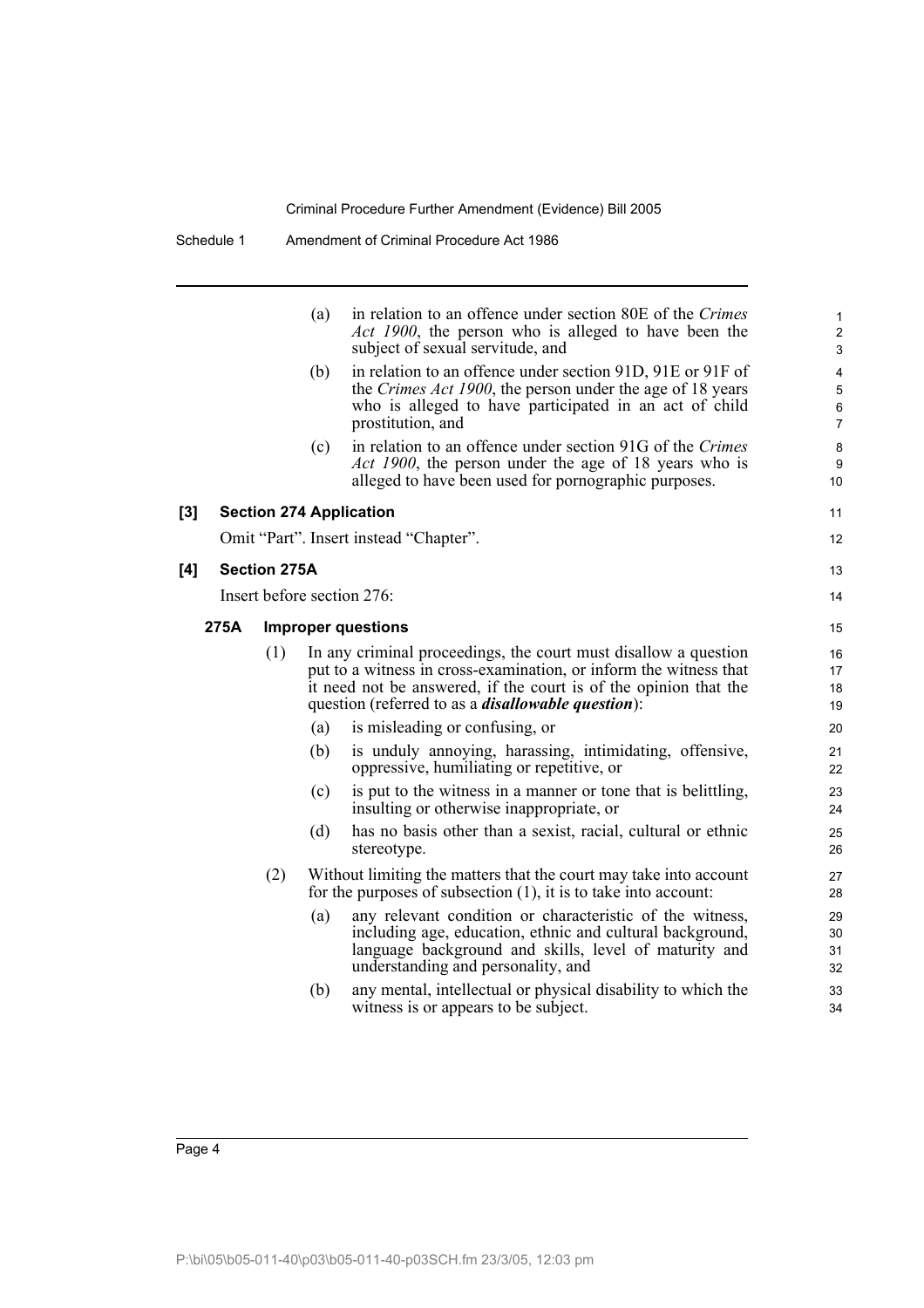|       |      |                     | (a) | in relation to an offence under section 80E of the Crimes<br>Act 1900, the person who is alleged to have been the<br>subject of sexual servitude, and                                                                                                                  | $\mathbf{1}$<br>$\overline{2}$<br>3     |
|-------|------|---------------------|-----|------------------------------------------------------------------------------------------------------------------------------------------------------------------------------------------------------------------------------------------------------------------------|-----------------------------------------|
|       |      |                     | (b) | in relation to an offence under section 91D, 91E or 91F of<br>the <i>Crimes Act 1900</i> , the person under the age of 18 years<br>who is alleged to have participated in an act of child<br>prostitution, and                                                         | 4<br>$\mathbf 5$<br>6<br>$\overline{7}$ |
|       |      |                     | (c) | in relation to an offence under section 91G of the Crimes<br><i>Act 1900</i> , the person under the age of 18 years who is<br>alleged to have been used for pornographic purposes.                                                                                     | 8<br>9<br>10                            |
| $[3]$ |      |                     |     | <b>Section 274 Application</b>                                                                                                                                                                                                                                         | 11                                      |
|       |      |                     |     | Omit "Part". Insert instead "Chapter".                                                                                                                                                                                                                                 | 12                                      |
| [4]   |      | <b>Section 275A</b> |     |                                                                                                                                                                                                                                                                        | 13                                      |
|       |      |                     |     | Insert before section 276:                                                                                                                                                                                                                                             | 14                                      |
|       | 275A |                     |     | <b>Improper questions</b>                                                                                                                                                                                                                                              | 15                                      |
|       |      | (1)                 |     | In any criminal proceedings, the court must disallow a question<br>put to a witness in cross-examination, or inform the witness that<br>it need not be answered, if the court is of the opinion that the<br>question (referred to as a <i>disallowable question</i> ): | 16<br>17<br>18<br>19                    |
|       |      |                     | (a) | is misleading or confusing, or                                                                                                                                                                                                                                         | 20                                      |
|       |      |                     | (b) | is unduly annoying, harassing, intimidating, offensive,<br>oppressive, humiliating or repetitive, or                                                                                                                                                                   | 21<br>22                                |
|       |      |                     | (c) | is put to the witness in a manner or tone that is belittling,<br>insulting or otherwise inappropriate, or                                                                                                                                                              | 23<br>24                                |
|       |      |                     | (d) | has no basis other than a sexist, racial, cultural or ethnic<br>stereotype.                                                                                                                                                                                            | 25<br>26                                |
|       |      | (2)                 |     | Without limiting the matters that the court may take into account<br>for the purposes of subsection $(1)$ , it is to take into account:                                                                                                                                | 27<br>28                                |
|       |      |                     | (a) | any relevant condition or characteristic of the witness,<br>including age, education, ethnic and cultural background,<br>language background and skills, level of maturity and<br>understanding and personality, and                                                   | 29<br>30<br>31<br>32                    |
|       |      |                     | (b) | any mental, intellectual or physical disability to which the<br>witness is or appears to be subject.                                                                                                                                                                   | 33<br>34                                |
|       |      |                     |     |                                                                                                                                                                                                                                                                        |                                         |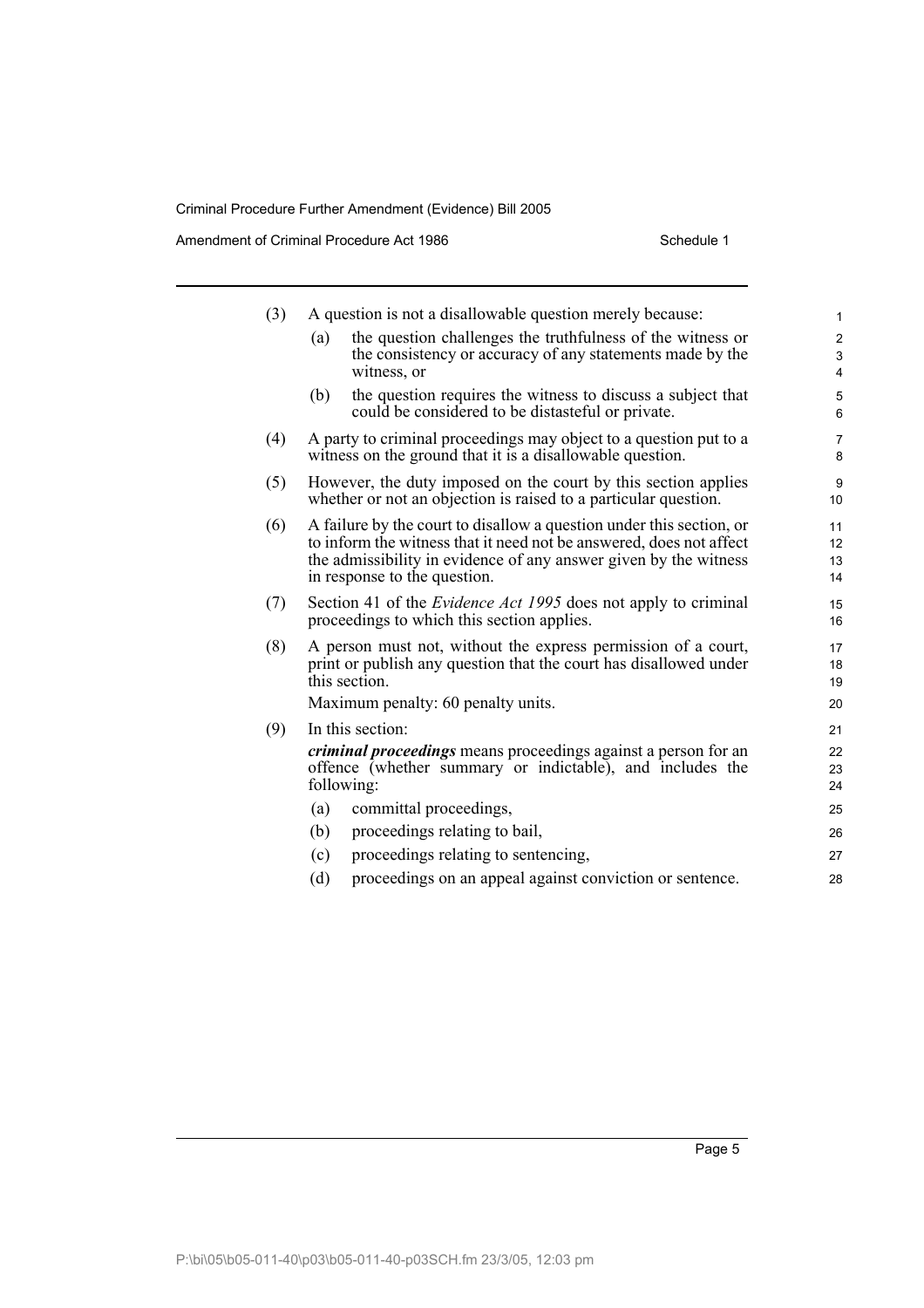Amendment of Criminal Procedure Act 1986 Schedule 1

| (3) | A question is not a disallowable question merely because:                                                                                                                                                                                       | 1                                     |
|-----|-------------------------------------------------------------------------------------------------------------------------------------------------------------------------------------------------------------------------------------------------|---------------------------------------|
|     | the question challenges the truthfulness of the witness or<br>(a)<br>the consistency or accuracy of any statements made by the<br>witness, or                                                                                                   | $\overline{c}$<br>3<br>$\overline{4}$ |
|     | the question requires the witness to discuss a subject that<br>(b)<br>could be considered to be distasteful or private.                                                                                                                         | 5<br>6                                |
| (4) | A party to criminal proceedings may object to a question put to a<br>witness on the ground that it is a disallowable question.                                                                                                                  | $\overline{7}$<br>8                   |
| (5) | However, the duty imposed on the court by this section applies<br>whether or not an objection is raised to a particular question.                                                                                                               | 9<br>10                               |
| (6) | A failure by the court to disallow a question under this section, or<br>to inform the witness that it need not be answered, does not affect<br>the admissibility in evidence of any answer given by the witness<br>in response to the question. | 11<br>12<br>13<br>14                  |
| (7) | Section 41 of the <i>Evidence Act 1995</i> does not apply to criminal<br>proceedings to which this section applies.                                                                                                                             | 15<br>16                              |
| (8) | A person must not, without the express permission of a court,<br>print or publish any question that the court has disallowed under<br>this section.                                                                                             | 17<br>18<br>19                        |
|     | Maximum penalty: 60 penalty units.                                                                                                                                                                                                              | 20                                    |
| (9) | In this section:                                                                                                                                                                                                                                | 21                                    |
|     | <i>criminal proceedings</i> means proceedings against a person for an<br>offence (whether summary or indictable), and includes the<br>following:                                                                                                | 22<br>23<br>24                        |
|     | (a)<br>committal proceedings,                                                                                                                                                                                                                   | 25                                    |
|     | proceedings relating to bail,<br>(b)                                                                                                                                                                                                            | 26                                    |
|     | proceedings relating to sentencing,<br>(c)                                                                                                                                                                                                      | 27                                    |
|     | (d)<br>proceedings on an appeal against conviction or sentence.                                                                                                                                                                                 | 28                                    |
|     |                                                                                                                                                                                                                                                 |                                       |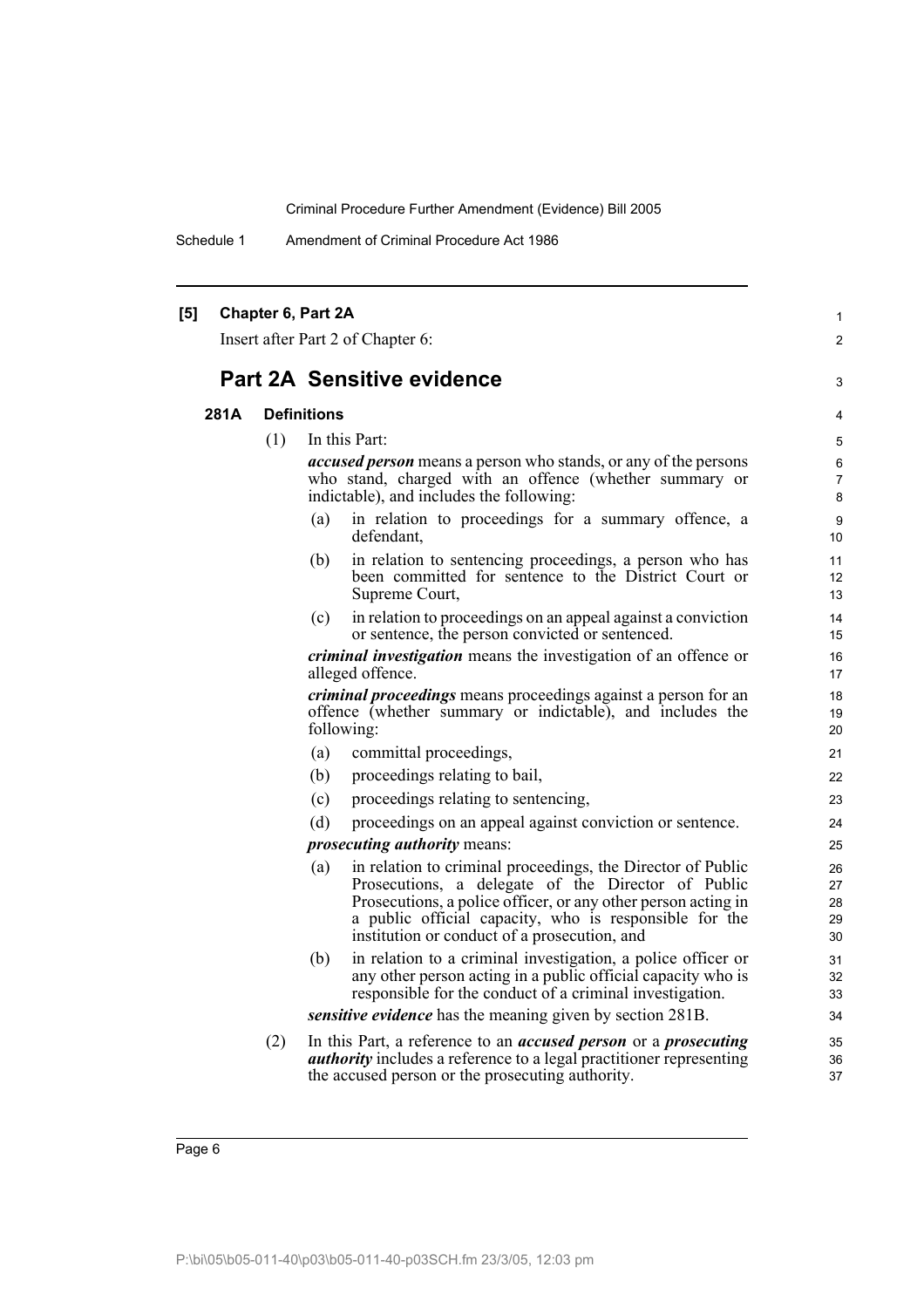Schedule 1 Amendment of Criminal Procedure Act 1986

| [5]        | <b>Chapter 6, Part 2A</b>                                                                  |     |                                                                                                                                                                                                                                                                                                     |                            |  |  |
|------------|--------------------------------------------------------------------------------------------|-----|-----------------------------------------------------------------------------------------------------------------------------------------------------------------------------------------------------------------------------------------------------------------------------------------------------|----------------------------|--|--|
|            | Insert after Part 2 of Chapter 6:                                                          |     |                                                                                                                                                                                                                                                                                                     |                            |  |  |
|            |                                                                                            |     | <b>Part 2A Sensitive evidence</b>                                                                                                                                                                                                                                                                   | 3                          |  |  |
|            | 281A                                                                                       |     | <b>Definitions</b>                                                                                                                                                                                                                                                                                  |                            |  |  |
|            |                                                                                            | (1) | In this Part:                                                                                                                                                                                                                                                                                       | 5                          |  |  |
|            |                                                                                            |     | <i>accused person</i> means a person who stands, or any of the persons                                                                                                                                                                                                                              | 6                          |  |  |
|            |                                                                                            |     | who stand, charged with an offence (whether summary or<br>indictable), and includes the following:                                                                                                                                                                                                  | $\overline{7}$<br>8        |  |  |
|            |                                                                                            |     | in relation to proceedings for a summary offence, a<br>(a)<br>defendant,                                                                                                                                                                                                                            | 9<br>10                    |  |  |
|            |                                                                                            |     | (b)<br>in relation to sentencing proceedings, a person who has<br>been committed for sentence to the District Court or<br>Supreme Court,                                                                                                                                                            | 11<br>12<br>13             |  |  |
|            |                                                                                            |     | in relation to proceedings on an appeal against a conviction<br>(c)<br>or sentence, the person convicted or sentenced.                                                                                                                                                                              | 14<br>15                   |  |  |
|            | <i>criminal investigation</i> means the investigation of an offence or<br>alleged offence. |     |                                                                                                                                                                                                                                                                                                     |                            |  |  |
| following: |                                                                                            |     | <i>criminal proceedings</i> means proceedings against a person for an<br>offence (whether summary or indictable), and includes the                                                                                                                                                                  | 18<br>19<br>20             |  |  |
|            |                                                                                            |     | (a)<br>committal proceedings,                                                                                                                                                                                                                                                                       | 21                         |  |  |
|            |                                                                                            |     | proceedings relating to bail,<br>(b)                                                                                                                                                                                                                                                                | 22                         |  |  |
|            |                                                                                            |     | proceedings relating to sentencing,<br>(c)                                                                                                                                                                                                                                                          | 23                         |  |  |
|            |                                                                                            |     | (d)<br>proceedings on an appeal against conviction or sentence.                                                                                                                                                                                                                                     | 24                         |  |  |
|            |                                                                                            |     | <i>prosecuting authority means:</i>                                                                                                                                                                                                                                                                 | 25                         |  |  |
|            |                                                                                            |     | in relation to criminal proceedings, the Director of Public<br>(a)<br>Prosecutions, a delegate of the Director of Public<br>Prosecutions, a police officer, or any other person acting in<br>a public official capacity, who is responsible for the<br>institution or conduct of a prosecution, and | 26<br>27<br>28<br>29<br>30 |  |  |
|            |                                                                                            |     | in relation to a criminal investigation, a police officer or<br>(b)<br>any other person acting in a public official capacity who is<br>responsible for the conduct of a criminal investigation.                                                                                                     | 31<br>32<br>33             |  |  |
|            |                                                                                            |     | sensitive evidence has the meaning given by section 281B.                                                                                                                                                                                                                                           | 34                         |  |  |
|            |                                                                                            | (2) | In this Part, a reference to an <i>accused person</i> or a <i>prosecuting</i><br><i>authority</i> includes a reference to a legal practitioner representing<br>the accused person or the prosecuting authority.                                                                                     | 35<br>36<br>37             |  |  |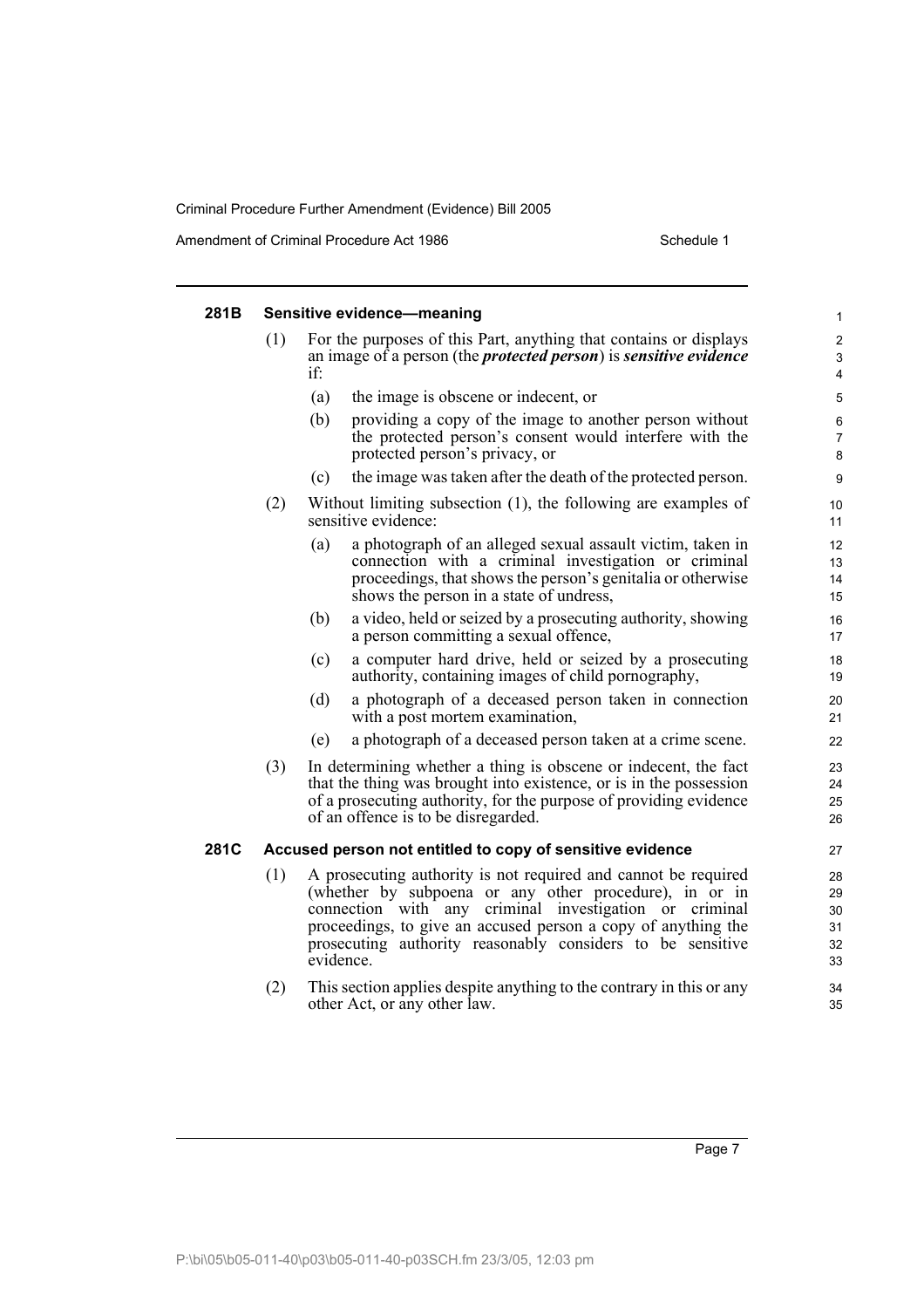Amendment of Criminal Procedure Act 1986 Schedule 1

| 281B | Sensitive evidence-meaning |                                                                                                                                                                                                                                                                                                                                |                                                  |  |  |  |
|------|----------------------------|--------------------------------------------------------------------------------------------------------------------------------------------------------------------------------------------------------------------------------------------------------------------------------------------------------------------------------|--------------------------------------------------|--|--|--|
|      | (1)                        | For the purposes of this Part, anything that contains or displays<br>an image of a person (the <i>protected person</i> ) is <i>sensitive evidence</i><br>if:                                                                                                                                                                   | $\overline{c}$<br>$\ensuremath{\mathsf{3}}$<br>4 |  |  |  |
|      |                            | (a)<br>the image is obscene or indecent, or                                                                                                                                                                                                                                                                                    | 5                                                |  |  |  |
|      |                            | (b)<br>providing a copy of the image to another person without<br>the protected person's consent would interfere with the<br>protected person's privacy, or                                                                                                                                                                    | 6<br>$\overline{7}$<br>8                         |  |  |  |
|      |                            | the image was taken after the death of the protected person.<br>(c)                                                                                                                                                                                                                                                            | 9                                                |  |  |  |
|      | (2)                        | Without limiting subsection $(1)$ , the following are examples of<br>sensitive evidence:                                                                                                                                                                                                                                       | 10<br>11                                         |  |  |  |
|      |                            | (a)<br>a photograph of an alleged sexual assault victim, taken in<br>connection with a criminal investigation or criminal<br>proceedings, that shows the person's genitalia or otherwise<br>shows the person in a state of undress,                                                                                            | 12<br>13<br>14<br>15                             |  |  |  |
|      |                            | a video, held or seized by a prosecuting authority, showing<br>(b)<br>a person committing a sexual offence,                                                                                                                                                                                                                    | 16<br>17                                         |  |  |  |
|      |                            | a computer hard drive, held or seized by a prosecuting<br>(c)<br>authority, containing images of child pornography,                                                                                                                                                                                                            | 18<br>19                                         |  |  |  |
|      |                            | a photograph of a deceased person taken in connection<br>(d)<br>with a post mortem examination,                                                                                                                                                                                                                                | 20<br>21                                         |  |  |  |
|      |                            | (e)<br>a photograph of a deceased person taken at a crime scene.                                                                                                                                                                                                                                                               | 22                                               |  |  |  |
|      | (3)                        | In determining whether a thing is obscene or indecent, the fact<br>that the thing was brought into existence, or is in the possession<br>of a prosecuting authority, for the purpose of providing evidence<br>of an offence is to be disregarded.                                                                              | 23<br>24<br>25<br>26                             |  |  |  |
| 281C |                            | Accused person not entitled to copy of sensitive evidence                                                                                                                                                                                                                                                                      | 27                                               |  |  |  |
|      | (1)                        | A prosecuting authority is not required and cannot be required<br>(whether by subpoena or any other procedure), in or in<br>connection with any criminal investigation or criminal<br>proceedings, to give an accused person a copy of anything the<br>prosecuting authority reasonably considers to be sensitive<br>evidence. | 28<br>29<br>30<br>31<br>32<br>33                 |  |  |  |
|      | (2)                        | This section applies despite anything to the contrary in this or any<br>other Act, or any other law.                                                                                                                                                                                                                           | 34<br>35                                         |  |  |  |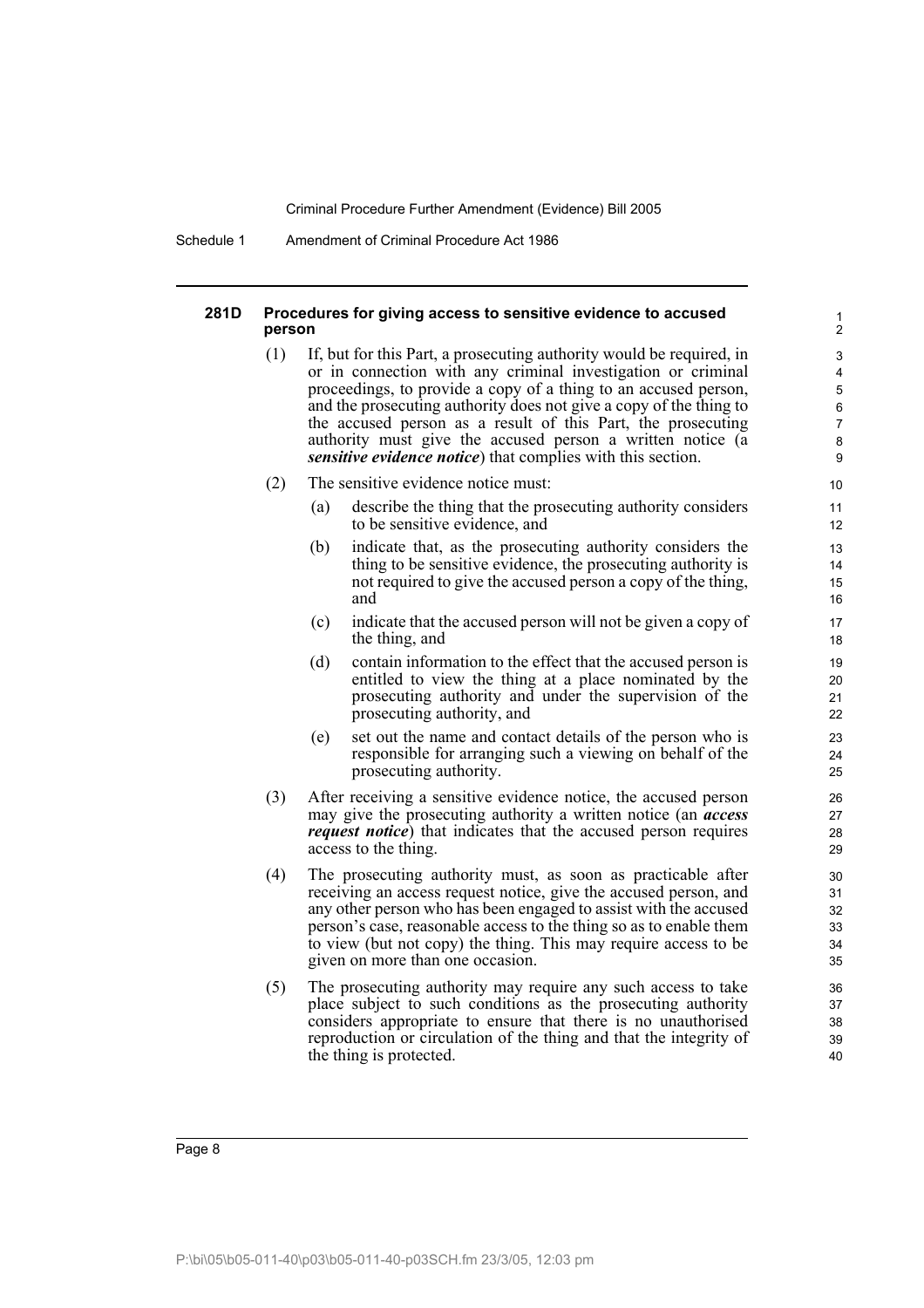Schedule 1 Amendment of Criminal Procedure Act 1986

#### **281D Procedures for giving access to sensitive evidence to accused person**

- (1) If, but for this Part, a prosecuting authority would be required, in or in connection with any criminal investigation or criminal proceedings, to provide a copy of a thing to an accused person, and the prosecuting authority does not give a copy of the thing to the accused person as a result of this Part, the prosecuting authority must give the accused person a written notice (a *sensitive evidence notice*) that complies with this section.
- (2) The sensitive evidence notice must:
	- (a) describe the thing that the prosecuting authority considers to be sensitive evidence, and

- (b) indicate that, as the prosecuting authority considers the thing to be sensitive evidence, the prosecuting authority is not required to give the accused person a copy of the thing, and
- (c) indicate that the accused person will not be given a copy of the thing, and
- (d) contain information to the effect that the accused person is entitled to view the thing at a place nominated by the prosecuting authority and under the supervision of the prosecuting authority, and
- (e) set out the name and contact details of the person who is responsible for arranging such a viewing on behalf of the prosecuting authority.
- (3) After receiving a sensitive evidence notice, the accused person may give the prosecuting authority a written notice (an *access request notice*) that indicates that the accused person requires access to the thing.
- (4) The prosecuting authority must, as soon as practicable after receiving an access request notice, give the accused person, and any other person who has been engaged to assist with the accused person's case, reasonable access to the thing so as to enable them to view (but not copy) the thing. This may require access to be given on more than one occasion.
- (5) The prosecuting authority may require any such access to take place subject to such conditions as the prosecuting authority considers appropriate to ensure that there is no unauthorised reproduction or circulation of the thing and that the integrity of the thing is protected.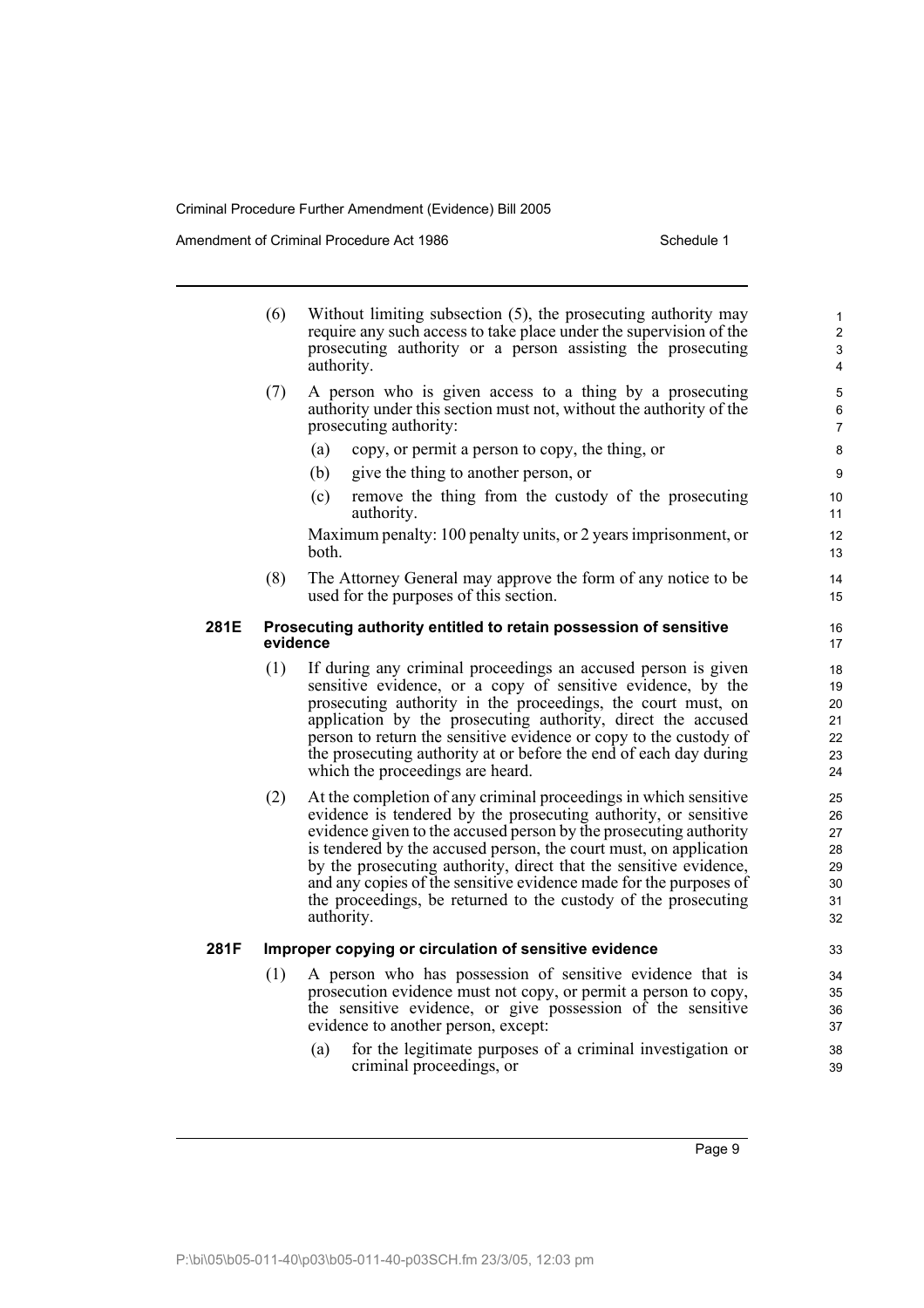Amendment of Criminal Procedure Act 1986 Schedule 1

|      | (6)                                                                          | Without limiting subsection (5), the prosecuting authority may<br>require any such access to take place under the supervision of the<br>prosecuting authority or a person assisting the prosecuting<br>authority.                                                                                                                                                                                                                                                                                       | $\mathbf{1}$<br>$\overline{2}$<br>3<br>$\overline{4}$ |  |  |
|------|------------------------------------------------------------------------------|---------------------------------------------------------------------------------------------------------------------------------------------------------------------------------------------------------------------------------------------------------------------------------------------------------------------------------------------------------------------------------------------------------------------------------------------------------------------------------------------------------|-------------------------------------------------------|--|--|
|      | (7)                                                                          | A person who is given access to a thing by a prosecuting<br>authority under this section must not, without the authority of the<br>prosecuting authority:                                                                                                                                                                                                                                                                                                                                               | 5<br>$\,6\,$<br>7                                     |  |  |
|      |                                                                              | (a)<br>copy, or permit a person to copy, the thing, or                                                                                                                                                                                                                                                                                                                                                                                                                                                  | 8                                                     |  |  |
|      |                                                                              | (b)<br>give the thing to another person, or                                                                                                                                                                                                                                                                                                                                                                                                                                                             | 9                                                     |  |  |
|      |                                                                              | (c)<br>remove the thing from the custody of the prosecuting<br>authority.                                                                                                                                                                                                                                                                                                                                                                                                                               | 10<br>11                                              |  |  |
|      |                                                                              | Maximum penalty: 100 penalty units, or 2 years imprisonment, or<br>both.                                                                                                                                                                                                                                                                                                                                                                                                                                | 12<br>13                                              |  |  |
|      | (8)                                                                          | The Attorney General may approve the form of any notice to be<br>used for the purposes of this section.                                                                                                                                                                                                                                                                                                                                                                                                 | 14<br>15                                              |  |  |
| 281E | Prosecuting authority entitled to retain possession of sensitive<br>evidence |                                                                                                                                                                                                                                                                                                                                                                                                                                                                                                         |                                                       |  |  |
|      | (1)                                                                          | If during any criminal proceedings an accused person is given<br>sensitive evidence, or a copy of sensitive evidence, by the<br>prosecuting authority in the proceedings, the court must, on<br>application by the prosecuting authority, direct the accused<br>person to return the sensitive evidence or copy to the custody of<br>the prosecuting authority at or before the end of each day during<br>which the proceedings are heard.                                                              | 18<br>19<br>20<br>21<br>22<br>23<br>24                |  |  |
|      | (2)                                                                          | At the completion of any criminal proceedings in which sensitive<br>evidence is tendered by the prosecuting authority, or sensitive<br>evidence given to the accused person by the prosecuting authority<br>is tendered by the accused person, the court must, on application<br>by the prosecuting authority, direct that the sensitive evidence,<br>and any copies of the sensitive evidence made for the purposes of<br>the proceedings, be returned to the custody of the prosecuting<br>authority. | 25<br>26<br>27<br>28<br>29<br>30<br>31<br>32          |  |  |
| 281F |                                                                              | Improper copying or circulation of sensitive evidence                                                                                                                                                                                                                                                                                                                                                                                                                                                   | 33                                                    |  |  |
|      | (1)                                                                          | A person who has possession of sensitive evidence that is<br>prosecution evidence must not copy, or permit a person to copy,<br>the sensitive evidence, or give possession of the sensitive<br>evidence to another person, except:                                                                                                                                                                                                                                                                      | 34<br>35<br>36<br>37                                  |  |  |
|      |                                                                              | for the legitimate purposes of a criminal investigation or<br>(a)<br>criminal proceedings, or                                                                                                                                                                                                                                                                                                                                                                                                           | 38<br>39                                              |  |  |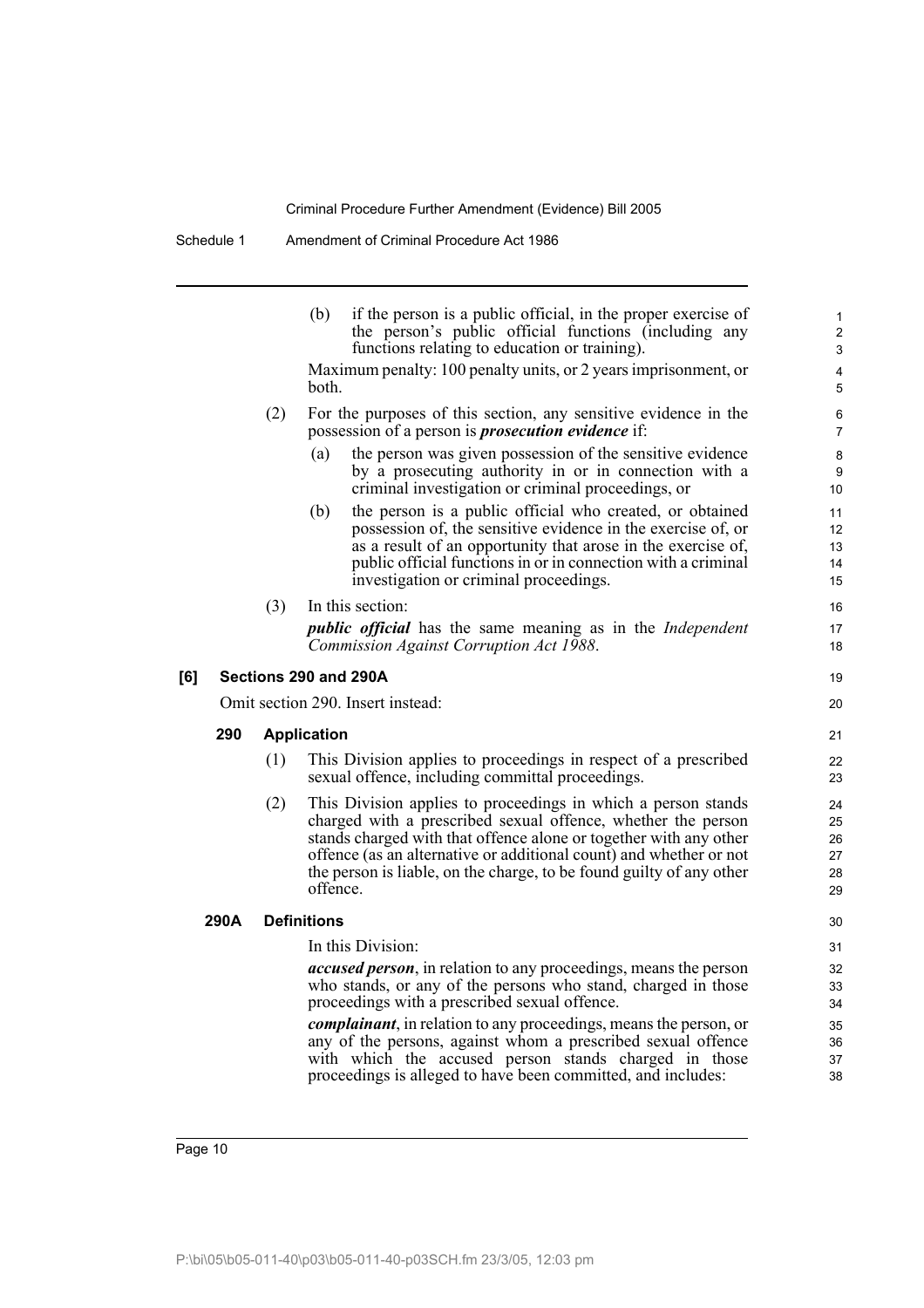Schedule 1 Amendment of Criminal Procedure Act 1986

|      |     | if the person is a public official, in the proper exercise of<br>(b)<br>the person's public official functions (including any<br>functions relating to education or training).<br>Maximum penalty: 100 penalty units, or 2 years imprisonment, or<br>both.                                                                                                   | $\mathbf{1}$<br>$\overline{c}$<br>3<br>4<br>5 |  |  |  |
|------|-----|--------------------------------------------------------------------------------------------------------------------------------------------------------------------------------------------------------------------------------------------------------------------------------------------------------------------------------------------------------------|-----------------------------------------------|--|--|--|
|      | (2) | For the purposes of this section, any sensitive evidence in the<br>possession of a person is <i>prosecution evidence</i> if:                                                                                                                                                                                                                                 | 6<br>$\overline{7}$                           |  |  |  |
|      |     | (a)<br>the person was given possession of the sensitive evidence<br>by a prosecuting authority in or in connection with a<br>criminal investigation or criminal proceedings, or                                                                                                                                                                              | 8<br>9<br>10                                  |  |  |  |
|      |     | the person is a public official who created, or obtained<br>(b)<br>possession of, the sensitive evidence in the exercise of, or<br>as a result of an opportunity that arose in the exercise of,<br>public official functions in or in connection with a criminal<br>investigation or criminal proceedings.                                                   | 11<br>12<br>13<br>14<br>15                    |  |  |  |
|      | (3) | In this section:                                                                                                                                                                                                                                                                                                                                             | 16                                            |  |  |  |
|      |     | <i>public official</i> has the same meaning as in the <i>Independent</i>                                                                                                                                                                                                                                                                                     | 17                                            |  |  |  |
|      |     | Commission Against Corruption Act 1988.                                                                                                                                                                                                                                                                                                                      | 18                                            |  |  |  |
| [6]  |     | Sections 290 and 290A                                                                                                                                                                                                                                                                                                                                        | 19                                            |  |  |  |
|      |     | Omit section 290. Insert instead:                                                                                                                                                                                                                                                                                                                            | 20                                            |  |  |  |
| 290  |     | <b>Application</b>                                                                                                                                                                                                                                                                                                                                           |                                               |  |  |  |
|      |     |                                                                                                                                                                                                                                                                                                                                                              | 21                                            |  |  |  |
|      | (1) | This Division applies to proceedings in respect of a prescribed<br>sexual offence, including committal proceedings.                                                                                                                                                                                                                                          | 22<br>23                                      |  |  |  |
|      | (2) | This Division applies to proceedings in which a person stands<br>charged with a prescribed sexual offence, whether the person<br>stands charged with that offence alone or together with any other<br>offence (as an alternative or additional count) and whether or not<br>the person is liable, on the charge, to be found guilty of any other<br>offence. | 24<br>25<br>26<br>27<br>28<br>29              |  |  |  |
| 290A |     | <b>Definitions</b>                                                                                                                                                                                                                                                                                                                                           | 30                                            |  |  |  |
|      |     | In this Division:                                                                                                                                                                                                                                                                                                                                            | 31                                            |  |  |  |
|      |     | <i>accused person</i> , in relation to any proceedings, means the person<br>who stands, or any of the persons who stand, charged in those<br>proceedings with a prescribed sexual offence.                                                                                                                                                                   | 32<br>33<br>34                                |  |  |  |
|      |     | <i>complainant</i> , in relation to any proceedings, means the person, or<br>any of the persons, against whom a prescribed sexual offence<br>with which the accused person stands charged in those<br>proceedings is alleged to have been committed, and includes:                                                                                           | 35<br>36<br>37<br>38                          |  |  |  |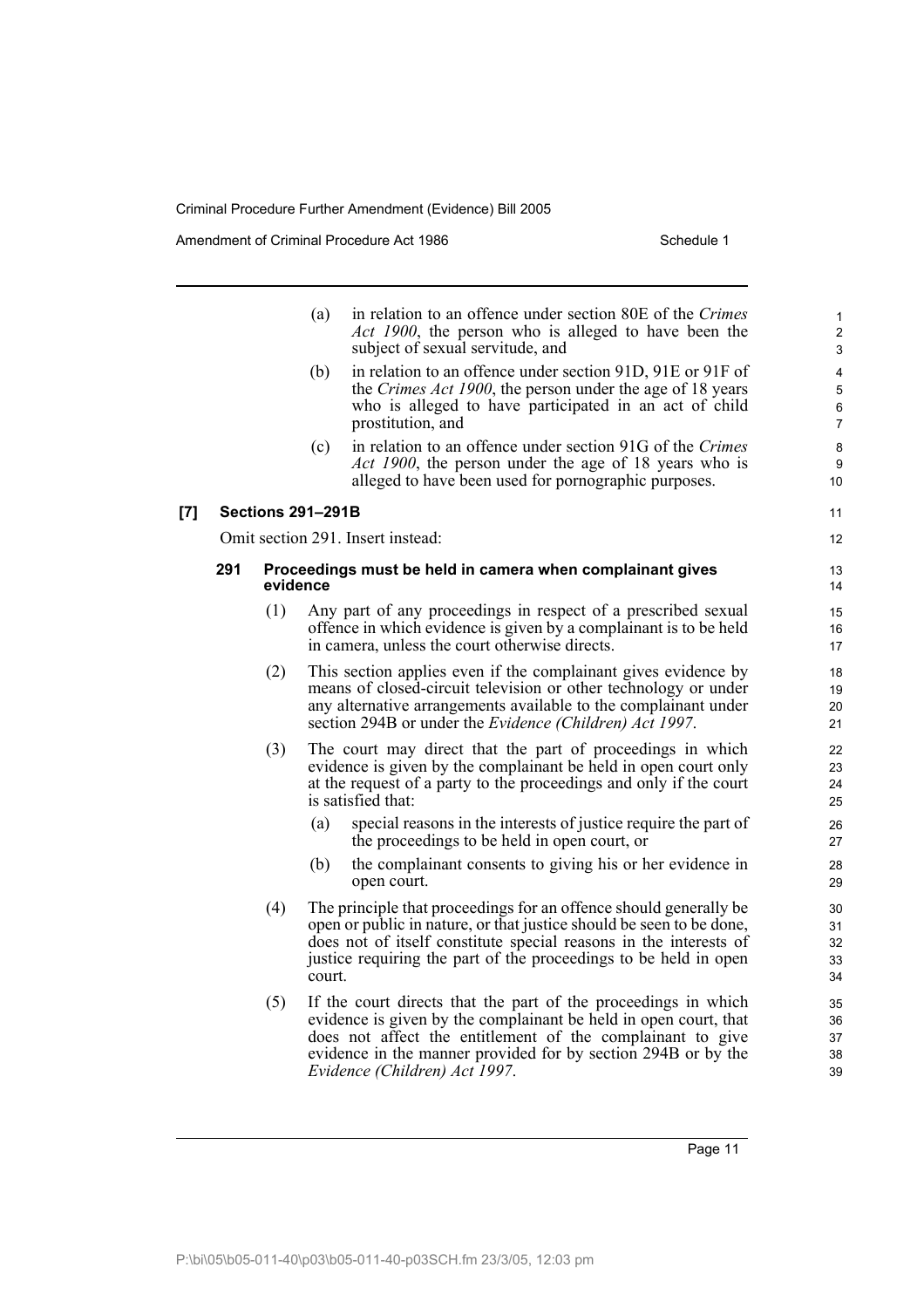Amendment of Criminal Procedure Act 1986 Schedule 1

|     |     |                          | (a)    | in relation to an offence under section 80E of the Crimes<br><i>Act 1900</i> , the person who is alleged to have been the<br>subject of sexual servitude, and                                                                                                                                      | $\mathbf{1}$<br>$\overline{c}$<br>3        |
|-----|-----|--------------------------|--------|----------------------------------------------------------------------------------------------------------------------------------------------------------------------------------------------------------------------------------------------------------------------------------------------------|--------------------------------------------|
|     |     |                          | (b)    | in relation to an offence under section 91D, 91E or 91F of<br>the Crimes Act 1900, the person under the age of 18 years<br>who is alleged to have participated in an act of child<br>prostitution, and                                                                                             | 4<br>$\overline{5}$<br>6<br>$\overline{7}$ |
|     |     |                          | (c)    | in relation to an offence under section 91G of the Crimes<br>Act 1900, the person under the age of 18 years who is<br>alleged to have been used for pornographic purposes.                                                                                                                         | 8<br>9<br>10                               |
| [7] |     | <b>Sections 291-291B</b> |        |                                                                                                                                                                                                                                                                                                    | 11                                         |
|     |     |                          |        | Omit section 291. Insert instead:                                                                                                                                                                                                                                                                  | 12                                         |
|     | 291 | evidence                 |        | Proceedings must be held in camera when complainant gives                                                                                                                                                                                                                                          | 13<br>14                                   |
|     |     | (1)                      |        | Any part of any proceedings in respect of a prescribed sexual<br>offence in which evidence is given by a complainant is to be held<br>in camera, unless the court otherwise directs.                                                                                                               | 15<br>16<br>17                             |
|     |     | (2)                      |        | This section applies even if the complainant gives evidence by<br>means of closed-circuit television or other technology or under<br>any alternative arrangements available to the complainant under<br>section 294B or under the Evidence (Children) Act 1997.                                    | 18<br>19<br>20<br>21                       |
|     |     | (3)                      |        | The court may direct that the part of proceedings in which<br>evidence is given by the complainant be held in open court only<br>at the request of a party to the proceedings and only if the court<br>is satisfied that:                                                                          | 22<br>23<br>24<br>25                       |
|     |     |                          | (a)    | special reasons in the interests of justice require the part of<br>the proceedings to be held in open court, or                                                                                                                                                                                    | 26<br>27                                   |
|     |     |                          | (b)    | the complainant consents to giving his or her evidence in<br>open court.                                                                                                                                                                                                                           | 28<br>29                                   |
|     |     | (4)                      | court. | The principle that proceedings for an offence should generally be<br>open or public in nature, or that justice should be seen to be done,<br>does not of itself constitute special reasons in the interests of<br>justice requiring the part of the proceedings to be held in open                 | 30<br>31<br>32<br>33<br>34                 |
|     |     | (5)                      |        | If the court directs that the part of the proceedings in which<br>evidence is given by the complainant be held in open court, that<br>does not affect the entitlement of the complainant to give<br>evidence in the manner provided for by section 294B or by the<br>Evidence (Children) Act 1997. | 35<br>36<br>37<br>38<br>39                 |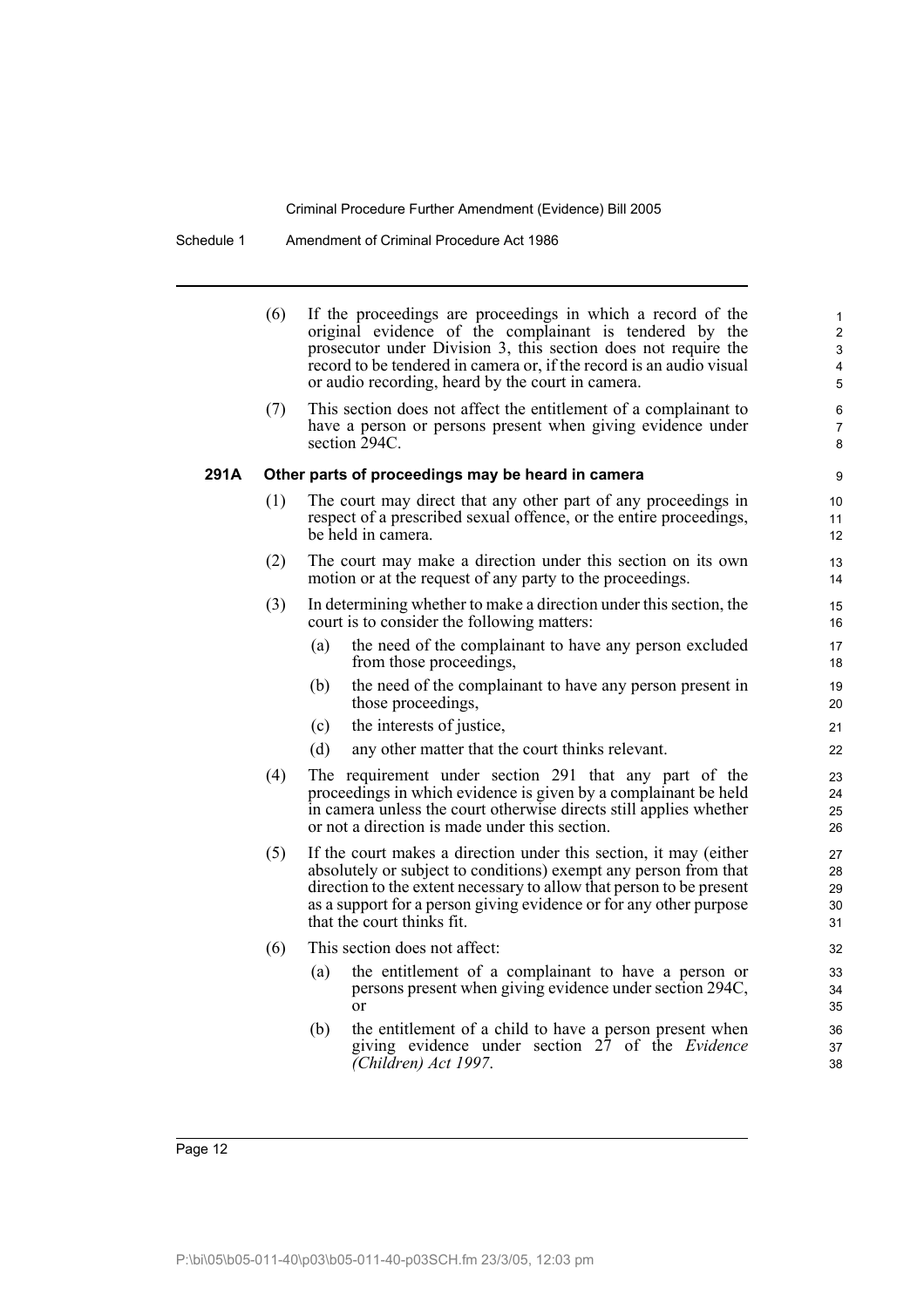Schedule 1 Amendment of Criminal Procedure Act 1986

|      | (6) |     | If the proceedings are proceedings in which a record of the<br>original evidence of the complainant is tendered by the<br>prosecutor under Division 3, this section does not require the<br>record to be tendered in camera or, if the record is an audio visual<br>or audio recording, heard by the court in camera. | 1<br>$\overline{c}$<br>3<br>4<br>5 |
|------|-----|-----|-----------------------------------------------------------------------------------------------------------------------------------------------------------------------------------------------------------------------------------------------------------------------------------------------------------------------|------------------------------------|
|      | (7) |     | This section does not affect the entitlement of a complainant to<br>have a person or persons present when giving evidence under<br>section 294C.                                                                                                                                                                      | 6<br>7<br>8                        |
| 291A |     |     | Other parts of proceedings may be heard in camera                                                                                                                                                                                                                                                                     | 9                                  |
|      | (1) |     | The court may direct that any other part of any proceedings in<br>respect of a prescribed sexual offence, or the entire proceedings,<br>be held in camera.                                                                                                                                                            | 10<br>11<br>12                     |
|      | (2) |     | The court may make a direction under this section on its own<br>motion or at the request of any party to the proceedings.                                                                                                                                                                                             | 13<br>14                           |
|      | (3) |     | In determining whether to make a direction under this section, the<br>court is to consider the following matters:                                                                                                                                                                                                     | 15<br>16                           |
|      |     | (a) | the need of the complainant to have any person excluded<br>from those proceedings,                                                                                                                                                                                                                                    | 17<br>18                           |
|      |     | (b) | the need of the complainant to have any person present in<br>those proceedings,                                                                                                                                                                                                                                       | 19<br>20                           |
|      |     | (c) | the interests of justice,                                                                                                                                                                                                                                                                                             | 21                                 |
|      |     | (d) | any other matter that the court thinks relevant.                                                                                                                                                                                                                                                                      | 22                                 |
|      | (4) |     | The requirement under section 291 that any part of the<br>proceedings in which evidence is given by a complainant be held<br>in camera unless the court otherwise directs still applies whether<br>or not a direction is made under this section.                                                                     | 23<br>24<br>25<br>26               |
|      | (5) |     | If the court makes a direction under this section, it may (either<br>absolutely or subject to conditions) exempt any person from that<br>direction to the extent necessary to allow that person to be present<br>as a support for a person giving evidence or for any other purpose<br>that the court thinks fit.     | 27<br>28<br>29<br>30<br>31         |
|      | (6) |     | This section does not affect:                                                                                                                                                                                                                                                                                         | 32                                 |
|      |     | (a) | the entitlement of a complainant to have a person or<br>persons present when giving evidence under section 294C,<br><sub>or</sub>                                                                                                                                                                                     | 33<br>34<br>35                     |
|      |     | (b) | the entitlement of a child to have a person present when<br>giving evidence under section 27 of the <i>Evidence</i><br>(Children) Act 1997.                                                                                                                                                                           | 36<br>37<br>38                     |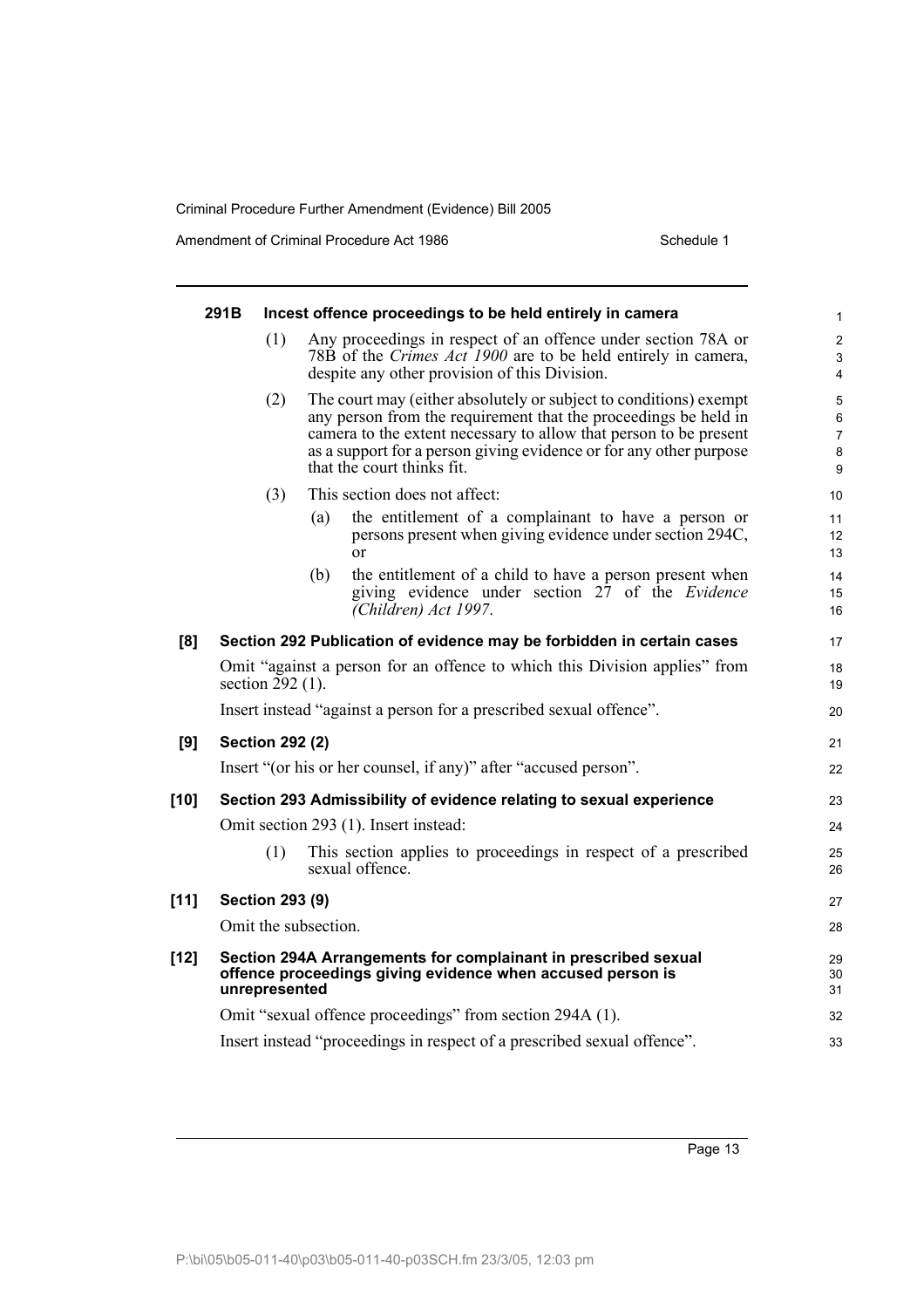Amendment of Criminal Procedure Act 1986 Schedule 1

| 291B   |                                                                                                                                                                                        |                                                                                                                                      | 1                                                                                                                                                                                                                                                                                                                                                                                                                                                                                                                                                                                                                                                                                                                                                                                                                                                                                                                                                                                                                                                                                                                                                                                                                      |  |  |  |
|--------|----------------------------------------------------------------------------------------------------------------------------------------------------------------------------------------|--------------------------------------------------------------------------------------------------------------------------------------|------------------------------------------------------------------------------------------------------------------------------------------------------------------------------------------------------------------------------------------------------------------------------------------------------------------------------------------------------------------------------------------------------------------------------------------------------------------------------------------------------------------------------------------------------------------------------------------------------------------------------------------------------------------------------------------------------------------------------------------------------------------------------------------------------------------------------------------------------------------------------------------------------------------------------------------------------------------------------------------------------------------------------------------------------------------------------------------------------------------------------------------------------------------------------------------------------------------------|--|--|--|
|        | Any proceedings in respect of an offence under section 78A or<br>78B of the <i>Crimes Act 1900</i> are to be held entirely in camera,<br>despite any other provision of this Division. |                                                                                                                                      |                                                                                                                                                                                                                                                                                                                                                                                                                                                                                                                                                                                                                                                                                                                                                                                                                                                                                                                                                                                                                                                                                                                                                                                                                        |  |  |  |
|        |                                                                                                                                                                                        |                                                                                                                                      | 5<br>6<br>$\overline{7}$<br>8<br>9                                                                                                                                                                                                                                                                                                                                                                                                                                                                                                                                                                                                                                                                                                                                                                                                                                                                                                                                                                                                                                                                                                                                                                                     |  |  |  |
|        |                                                                                                                                                                                        |                                                                                                                                      | 10                                                                                                                                                                                                                                                                                                                                                                                                                                                                                                                                                                                                                                                                                                                                                                                                                                                                                                                                                                                                                                                                                                                                                                                                                     |  |  |  |
|        |                                                                                                                                                                                        | the entitlement of a complainant to have a person or<br>persons present when giving evidence under section 294C,<br>$\alpha$         | 11<br>12<br>13                                                                                                                                                                                                                                                                                                                                                                                                                                                                                                                                                                                                                                                                                                                                                                                                                                                                                                                                                                                                                                                                                                                                                                                                         |  |  |  |
|        | (b)                                                                                                                                                                                    | the entitlement of a child to have a person present when<br>giving evidence under section 27 of the Evidence<br>(Children) Act 1997. | 14<br>15<br>16                                                                                                                                                                                                                                                                                                                                                                                                                                                                                                                                                                                                                                                                                                                                                                                                                                                                                                                                                                                                                                                                                                                                                                                                         |  |  |  |
| [8]    |                                                                                                                                                                                        |                                                                                                                                      | 17                                                                                                                                                                                                                                                                                                                                                                                                                                                                                                                                                                                                                                                                                                                                                                                                                                                                                                                                                                                                                                                                                                                                                                                                                     |  |  |  |
|        |                                                                                                                                                                                        |                                                                                                                                      | 18<br>19                                                                                                                                                                                                                                                                                                                                                                                                                                                                                                                                                                                                                                                                                                                                                                                                                                                                                                                                                                                                                                                                                                                                                                                                               |  |  |  |
|        |                                                                                                                                                                                        |                                                                                                                                      | 20                                                                                                                                                                                                                                                                                                                                                                                                                                                                                                                                                                                                                                                                                                                                                                                                                                                                                                                                                                                                                                                                                                                                                                                                                     |  |  |  |
| [9]    |                                                                                                                                                                                        |                                                                                                                                      | 21                                                                                                                                                                                                                                                                                                                                                                                                                                                                                                                                                                                                                                                                                                                                                                                                                                                                                                                                                                                                                                                                                                                                                                                                                     |  |  |  |
|        |                                                                                                                                                                                        |                                                                                                                                      | 22                                                                                                                                                                                                                                                                                                                                                                                                                                                                                                                                                                                                                                                                                                                                                                                                                                                                                                                                                                                                                                                                                                                                                                                                                     |  |  |  |
| $[10]$ |                                                                                                                                                                                        |                                                                                                                                      | 23                                                                                                                                                                                                                                                                                                                                                                                                                                                                                                                                                                                                                                                                                                                                                                                                                                                                                                                                                                                                                                                                                                                                                                                                                     |  |  |  |
|        |                                                                                                                                                                                        |                                                                                                                                      | 24                                                                                                                                                                                                                                                                                                                                                                                                                                                                                                                                                                                                                                                                                                                                                                                                                                                                                                                                                                                                                                                                                                                                                                                                                     |  |  |  |
|        |                                                                                                                                                                                        |                                                                                                                                      | 25<br>26                                                                                                                                                                                                                                                                                                                                                                                                                                                                                                                                                                                                                                                                                                                                                                                                                                                                                                                                                                                                                                                                                                                                                                                                               |  |  |  |
| $[11]$ |                                                                                                                                                                                        |                                                                                                                                      | 27                                                                                                                                                                                                                                                                                                                                                                                                                                                                                                                                                                                                                                                                                                                                                                                                                                                                                                                                                                                                                                                                                                                                                                                                                     |  |  |  |
|        |                                                                                                                                                                                        |                                                                                                                                      | 28                                                                                                                                                                                                                                                                                                                                                                                                                                                                                                                                                                                                                                                                                                                                                                                                                                                                                                                                                                                                                                                                                                                                                                                                                     |  |  |  |
| $[12]$ |                                                                                                                                                                                        |                                                                                                                                      | 29<br>30<br>31                                                                                                                                                                                                                                                                                                                                                                                                                                                                                                                                                                                                                                                                                                                                                                                                                                                                                                                                                                                                                                                                                                                                                                                                         |  |  |  |
|        |                                                                                                                                                                                        |                                                                                                                                      | 32                                                                                                                                                                                                                                                                                                                                                                                                                                                                                                                                                                                                                                                                                                                                                                                                                                                                                                                                                                                                                                                                                                                                                                                                                     |  |  |  |
|        |                                                                                                                                                                                        |                                                                                                                                      | 33                                                                                                                                                                                                                                                                                                                                                                                                                                                                                                                                                                                                                                                                                                                                                                                                                                                                                                                                                                                                                                                                                                                                                                                                                     |  |  |  |
|        |                                                                                                                                                                                        | (1)<br>(2)<br>(3)<br>section $292$ (1).<br><b>Section 292 (2)</b><br>(1)<br><b>Section 293 (9)</b><br>unrepresented                  | Incest offence proceedings to be held entirely in camera<br>The court may (either absolutely or subject to conditions) exempt<br>any person from the requirement that the proceedings be held in<br>camera to the extent necessary to allow that person to be present<br>as a support for a person giving evidence or for any other purpose<br>that the court thinks fit.<br>This section does not affect:<br>(a)<br>Section 292 Publication of evidence may be forbidden in certain cases<br>Omit "against a person for an offence to which this Division applies" from<br>Insert instead "against a person for a prescribed sexual offence".<br>Insert "(or his or her counsel, if any)" after "accused person".<br>Section 293 Admissibility of evidence relating to sexual experience<br>Omit section 293 (1). Insert instead:<br>This section applies to proceedings in respect of a prescribed<br>sexual offence.<br>Omit the subsection.<br>Section 294A Arrangements for complainant in prescribed sexual<br>offence proceedings giving evidence when accused person is<br>Omit "sexual offence proceedings" from section 294A (1).<br>Insert instead "proceedings in respect of a prescribed sexual offence". |  |  |  |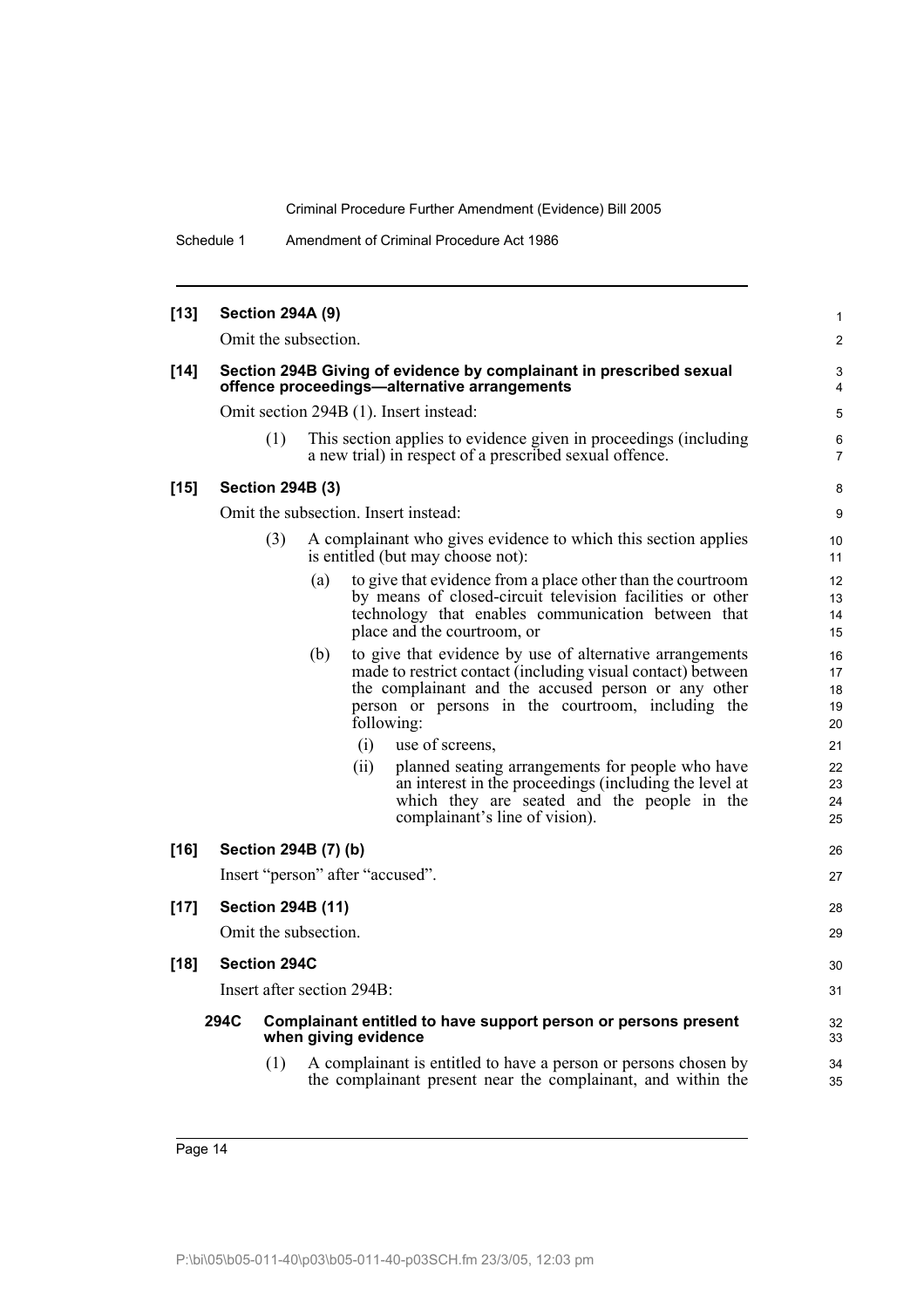Schedule 1 Amendment of Criminal Procedure Act 1986

| $[13]$ | <b>Section 294A (9)</b> |                                                                                                                     |                                                                                                     |                                                                                                                             |                                                                                                                                                                                                                                                                                                                                                                                                                                                                     |                                                          |  |  |
|--------|-------------------------|---------------------------------------------------------------------------------------------------------------------|-----------------------------------------------------------------------------------------------------|-----------------------------------------------------------------------------------------------------------------------------|---------------------------------------------------------------------------------------------------------------------------------------------------------------------------------------------------------------------------------------------------------------------------------------------------------------------------------------------------------------------------------------------------------------------------------------------------------------------|----------------------------------------------------------|--|--|
|        | Omit the subsection.    |                                                                                                                     |                                                                                                     |                                                                                                                             |                                                                                                                                                                                                                                                                                                                                                                                                                                                                     |                                                          |  |  |
| $[14]$ |                         | Section 294B Giving of evidence by complainant in prescribed sexual<br>offence proceedings-alternative arrangements |                                                                                                     |                                                                                                                             |                                                                                                                                                                                                                                                                                                                                                                                                                                                                     |                                                          |  |  |
|        |                         |                                                                                                                     |                                                                                                     |                                                                                                                             | Omit section 294B (1). Insert instead:                                                                                                                                                                                                                                                                                                                                                                                                                              | 5                                                        |  |  |
|        |                         | (1)                                                                                                                 |                                                                                                     | This section applies to evidence given in proceedings (including<br>a new trial) in respect of a prescribed sexual offence. |                                                                                                                                                                                                                                                                                                                                                                                                                                                                     |                                                          |  |  |
| $[15]$ |                         | <b>Section 294B (3)</b>                                                                                             |                                                                                                     |                                                                                                                             |                                                                                                                                                                                                                                                                                                                                                                                                                                                                     |                                                          |  |  |
|        |                         | Omit the subsection. Insert instead:                                                                                |                                                                                                     |                                                                                                                             |                                                                                                                                                                                                                                                                                                                                                                                                                                                                     |                                                          |  |  |
|        |                         | (3)                                                                                                                 | A complainant who gives evidence to which this section applies<br>is entitled (but may choose not): |                                                                                                                             |                                                                                                                                                                                                                                                                                                                                                                                                                                                                     |                                                          |  |  |
|        |                         |                                                                                                                     | (a)                                                                                                 |                                                                                                                             | to give that evidence from a place other than the courtroom<br>by means of closed-circuit television facilities or other<br>technology that enables communication between that<br>place and the courtroom, or                                                                                                                                                                                                                                                       | 12<br>13<br>14<br>15                                     |  |  |
|        |                         |                                                                                                                     | (b)                                                                                                 | (i)<br>(ii)                                                                                                                 | to give that evidence by use of alternative arrangements<br>made to restrict contact (including visual contact) between<br>the complainant and the accused person or any other<br>person or persons in the courtroom, including the<br>following:<br>use of screens,<br>planned seating arrangements for people who have<br>an interest in the proceedings (including the level at<br>which they are seated and the people in the<br>complainant's line of vision). | 16<br>17<br>18<br>19<br>20<br>21<br>22<br>23<br>24<br>25 |  |  |
| $[16]$ |                         |                                                                                                                     | Section 294B (7) (b)                                                                                |                                                                                                                             |                                                                                                                                                                                                                                                                                                                                                                                                                                                                     | 26                                                       |  |  |
|        |                         |                                                                                                                     |                                                                                                     |                                                                                                                             | Insert "person" after "accused".                                                                                                                                                                                                                                                                                                                                                                                                                                    | 27                                                       |  |  |
| $[17]$ |                         |                                                                                                                     | <b>Section 294B (11)</b>                                                                            |                                                                                                                             |                                                                                                                                                                                                                                                                                                                                                                                                                                                                     | 28                                                       |  |  |
|        |                         |                                                                                                                     | Omit the subsection.                                                                                |                                                                                                                             |                                                                                                                                                                                                                                                                                                                                                                                                                                                                     | 29                                                       |  |  |
| $[18]$ |                         | <b>Section 294C</b>                                                                                                 |                                                                                                     |                                                                                                                             |                                                                                                                                                                                                                                                                                                                                                                                                                                                                     | 30                                                       |  |  |
|        |                         |                                                                                                                     | Insert after section 294B:                                                                          |                                                                                                                             |                                                                                                                                                                                                                                                                                                                                                                                                                                                                     | 31                                                       |  |  |
|        | 294C                    |                                                                                                                     | Complainant entitled to have support person or persons present<br>when giving evidence              |                                                                                                                             |                                                                                                                                                                                                                                                                                                                                                                                                                                                                     |                                                          |  |  |
|        |                         | (1)                                                                                                                 |                                                                                                     |                                                                                                                             | A complainant is entitled to have a person or persons chosen by<br>the complainant present near the complainant, and within the                                                                                                                                                                                                                                                                                                                                     | 34<br>35                                                 |  |  |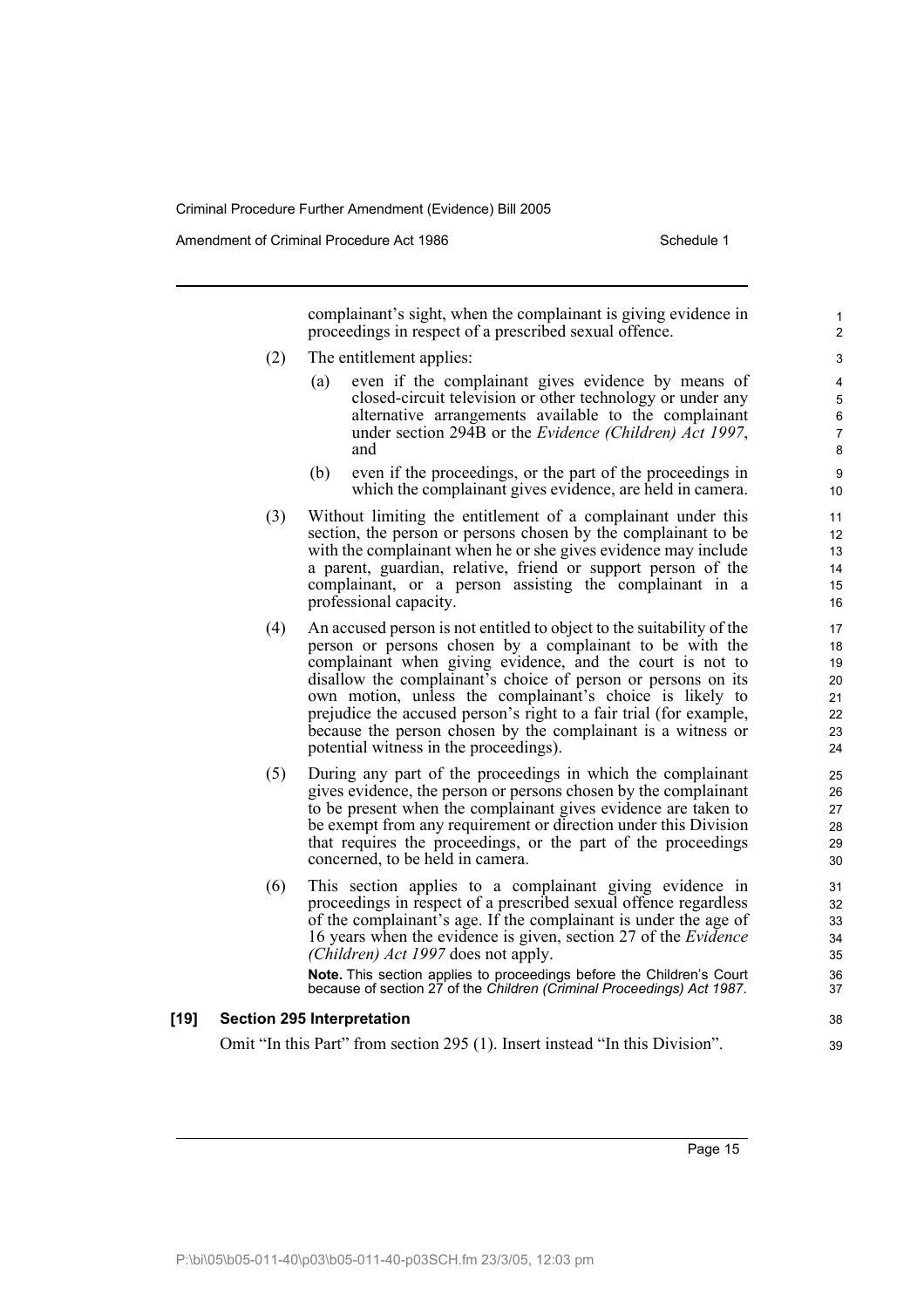Amendment of Criminal Procedure Act 1986 Schedule 1

complainant's sight, when the complainant is giving evidence in proceedings in respect of a prescribed sexual offence.

- (2) The entitlement applies:
	- (a) even if the complainant gives evidence by means of closed-circuit television or other technology or under any alternative arrangements available to the complainant under section 294B or the *Evidence (Children) Act 1997*, and
	- (b) even if the proceedings, or the part of the proceedings in which the complainant gives evidence, are held in camera.
- (3) Without limiting the entitlement of a complainant under this section, the person or persons chosen by the complainant to be with the complainant when he or she gives evidence may include a parent, guardian, relative, friend or support person of the complainant, or a person assisting the complainant in a professional capacity.
- (4) An accused person is not entitled to object to the suitability of the person or persons chosen by a complainant to be with the complainant when giving evidence, and the court is not to disallow the complainant's choice of person or persons on its own motion, unless the complainant's choice is likely to prejudice the accused person's right to a fair trial (for example, because the person chosen by the complainant is a witness or potential witness in the proceedings).
- (5) During any part of the proceedings in which the complainant gives evidence, the person or persons chosen by the complainant to be present when the complainant gives evidence are taken to be exempt from any requirement or direction under this Division that requires the proceedings, or the part of the proceedings concerned, to be held in camera.
- (6) This section applies to a complainant giving evidence in proceedings in respect of a prescribed sexual offence regardless of the complainant's age. If the complainant is under the age of 16 years when the evidence is given, section 27 of the *Evidence (Children) Act 1997* does not apply.

**Note.** This section applies to proceedings before the Children's Court because of section 27 of the *Children (Criminal Proceedings) Act 1987*.

#### **[19] Section 295 Interpretation**

Omit "In this Part" from section 295 (1). Insert instead "In this Division".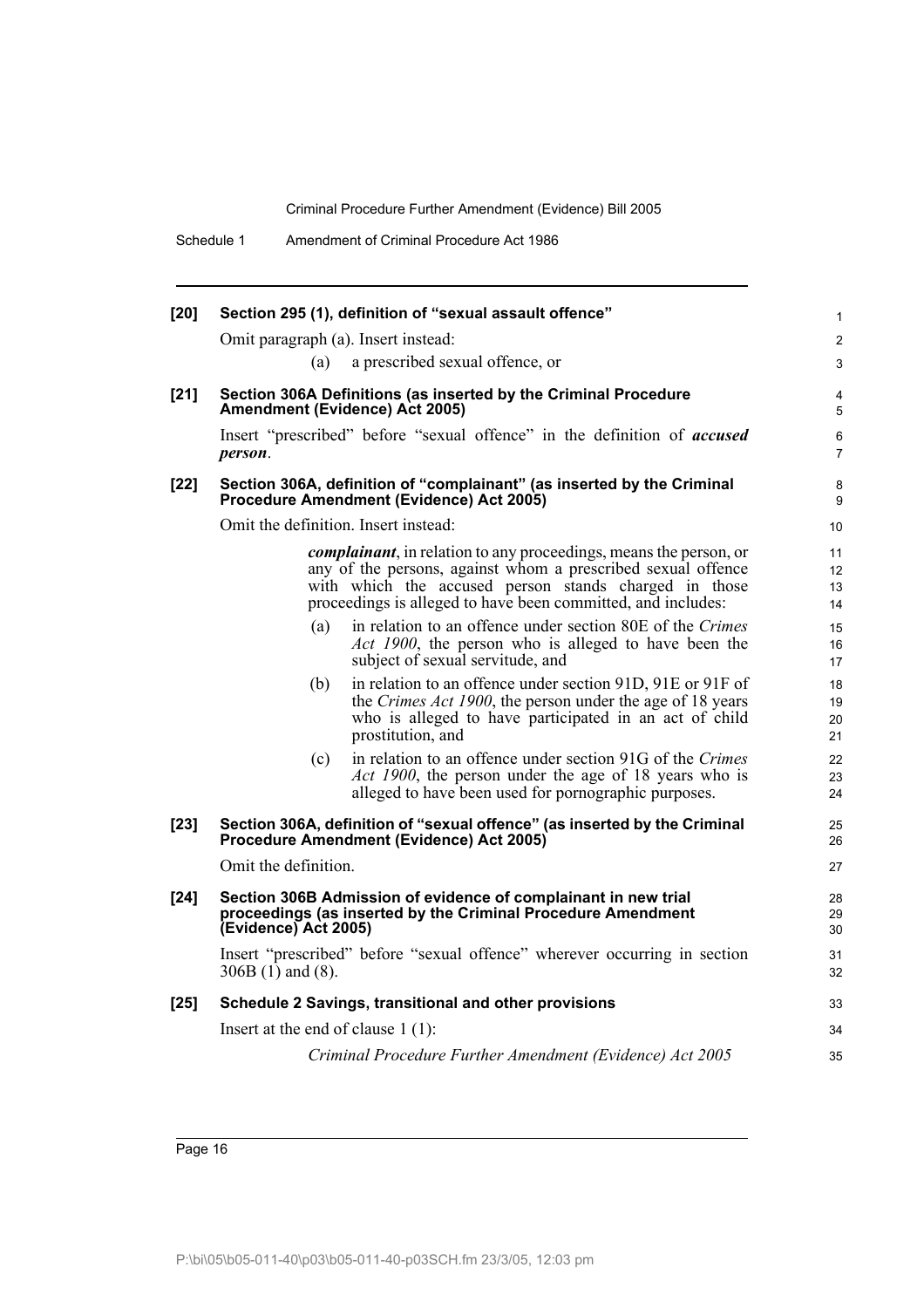| [20]   | Section 295 (1), definition of "sexual assault offence"                                                                                                                                                                                                            | $\mathbf{1}$         |
|--------|--------------------------------------------------------------------------------------------------------------------------------------------------------------------------------------------------------------------------------------------------------------------|----------------------|
|        | Omit paragraph (a). Insert instead:                                                                                                                                                                                                                                | $\overline{2}$       |
|        | a prescribed sexual offence, or<br>(a)                                                                                                                                                                                                                             | 3                    |
| $[21]$ | Section 306A Definitions (as inserted by the Criminal Procedure<br>Amendment (Evidence) Act 2005)                                                                                                                                                                  | 4<br>5               |
|        | Insert "prescribed" before "sexual offence" in the definition of <i>accused</i><br>person.                                                                                                                                                                         | 6<br>$\overline{7}$  |
| $[22]$ | Section 306A, definition of "complainant" (as inserted by the Criminal<br>Procedure Amendment (Evidence) Act 2005)                                                                                                                                                 | 8<br>9               |
|        | Omit the definition. Insert instead:                                                                                                                                                                                                                               | 10                   |
|        | <i>complainant</i> , in relation to any proceedings, means the person, or<br>any of the persons, against whom a prescribed sexual offence<br>with which the accused person stands charged in those<br>proceedings is alleged to have been committed, and includes: | 11<br>12<br>13<br>14 |
|        | in relation to an offence under section 80E of the Crimes<br>(a)<br>Act 1900, the person who is alleged to have been the<br>subject of sexual servitude, and                                                                                                       | 15<br>16<br>17       |
|        | in relation to an offence under section 91D, 91E or 91F of<br>(b)<br>the Crimes Act 1900, the person under the age of 18 years<br>who is alleged to have participated in an act of child<br>prostitution, and                                                      | 18<br>19<br>20<br>21 |
|        | in relation to an offence under section 91G of the Crimes<br>(c)<br>Act 1900, the person under the age of 18 years who is<br>alleged to have been used for pornographic purposes.                                                                                  | 22<br>23<br>24       |
| $[23]$ | Section 306A, definition of "sexual offence" (as inserted by the Criminal<br>Procedure Amendment (Evidence) Act 2005)                                                                                                                                              | 25<br>26             |
|        | Omit the definition.                                                                                                                                                                                                                                               | 27                   |
| $[24]$ | Section 306B Admission of evidence of complainant in new trial<br>proceedings (as inserted by the Criminal Procedure Amendment<br>(Evidence) Act 2005)                                                                                                             | 28<br>29<br>30       |
|        | Insert "prescribed" before "sexual offence" wherever occurring in section<br>$306B(1)$ and (8).                                                                                                                                                                    | 31<br>32             |
| $[25]$ | Schedule 2 Savings, transitional and other provisions                                                                                                                                                                                                              | 33                   |
|        | Insert at the end of clause $1(1)$ :                                                                                                                                                                                                                               | 34                   |
|        | Criminal Procedure Further Amendment (Evidence) Act 2005                                                                                                                                                                                                           | 35                   |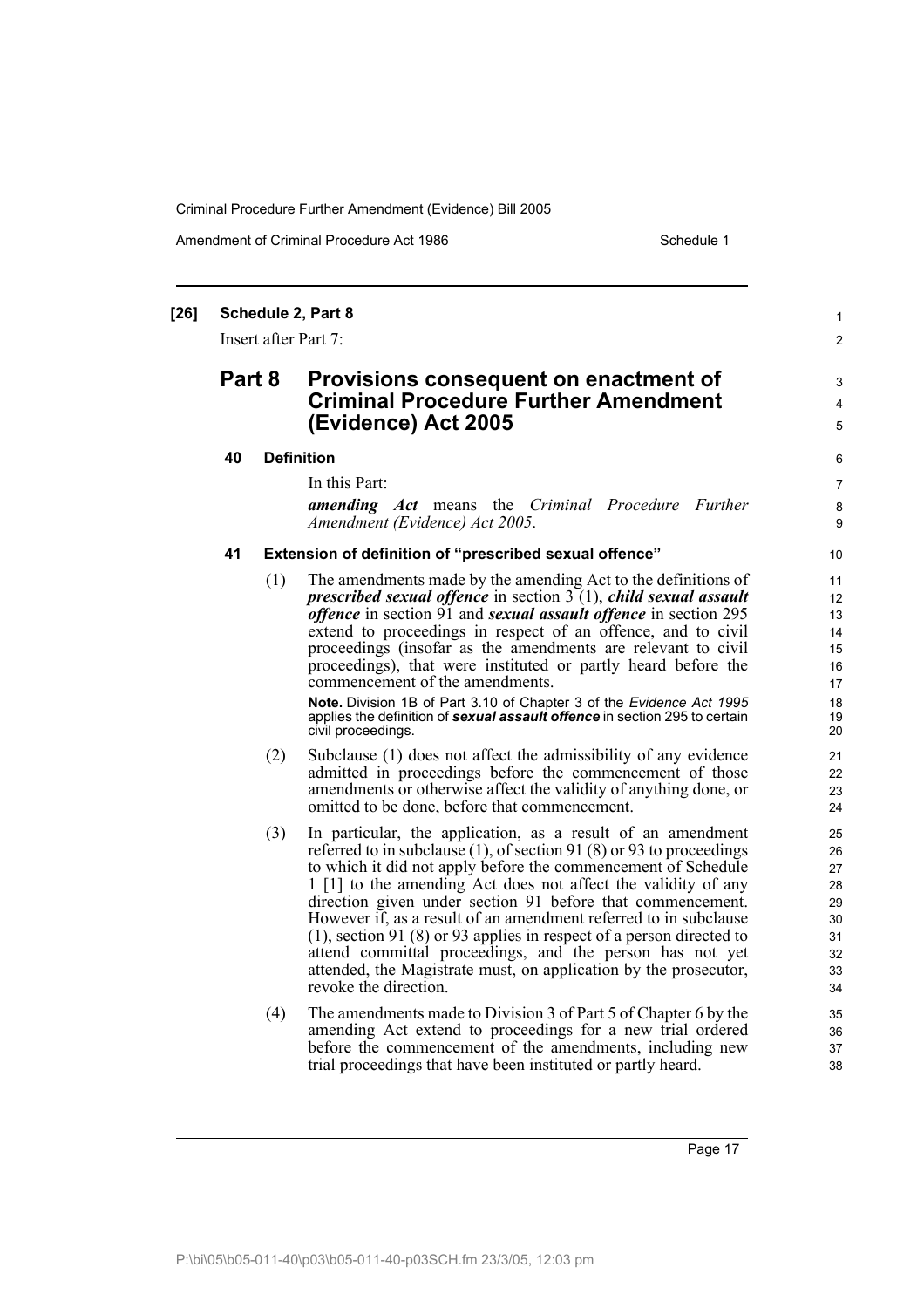Amendment of Criminal Procedure Act 1986 Schedule 1

1  $\mathfrak{p}$ 

3 4 5

# **[26] Schedule 2, Part 8**

Insert after Part 7:

# **Part 8 Provisions consequent on enactment of Criminal Procedure Further Amendment (Evidence) Act 2005**

## **40 Definition**

In this Part:

*amending Act* means the *Criminal Procedure Further Amendment (Evidence) Act 2005*.

## **41 Extension of definition of "prescribed sexual offence"**

(1) The amendments made by the amending Act to the definitions of *prescribed sexual offence* in section 3 (1), *child sexual assault offence* in section 91 and *sexual assault offence* in section 295 extend to proceedings in respect of an offence, and to civil proceedings (insofar as the amendments are relevant to civil proceedings), that were instituted or partly heard before the commencement of the amendments.

**Note.** Division 1B of Part 3.10 of Chapter 3 of the *Evidence Act 1995* applies the definition of *sexual assault offence* in section 295 to certain civil proceedings.

- (2) Subclause (1) does not affect the admissibility of any evidence admitted in proceedings before the commencement of those amendments or otherwise affect the validity of anything done, or omitted to be done, before that commencement.
- (3) In particular, the application, as a result of an amendment referred to in subclause (1), of section 91 (8) or 93 to proceedings to which it did not apply before the commencement of Schedule 1 [1] to the amending Act does not affect the validity of any direction given under section 91 before that commencement. However if, as a result of an amendment referred to in subclause (1), section 91 (8) or 93 applies in respect of a person directed to attend committal proceedings, and the person has not yet attended, the Magistrate must, on application by the prosecutor, revoke the direction.
- (4) The amendments made to Division 3 of Part 5 of Chapter 6 by the amending Act extend to proceedings for a new trial ordered before the commencement of the amendments, including new trial proceedings that have been instituted or partly heard.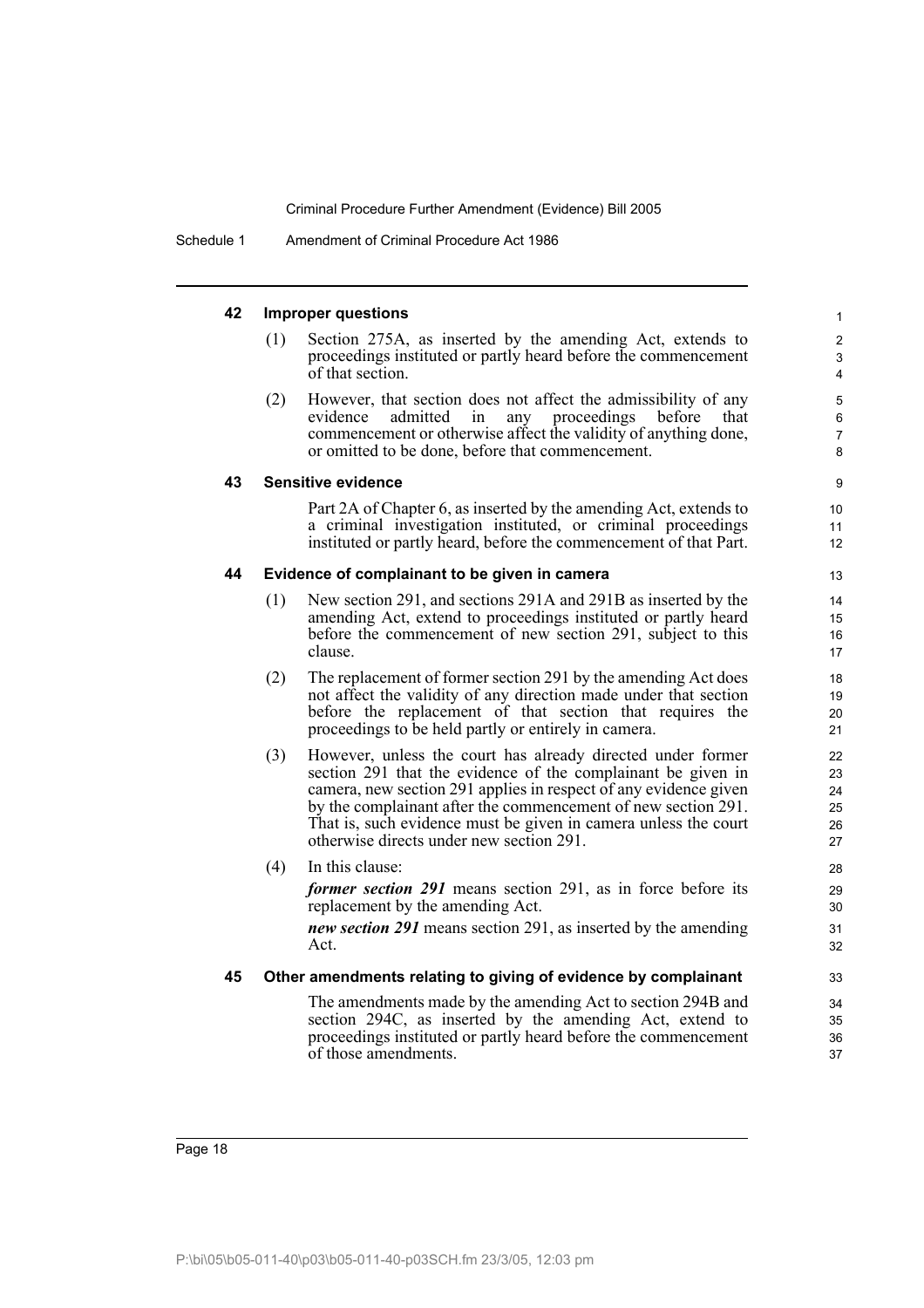Schedule 1 Amendment of Criminal Procedure Act 1986

#### **42 Improper questions**

(1) Section 275A, as inserted by the amending Act, extends to proceedings instituted or partly heard before the commencement of that section.

(2) However, that section does not affect the admissibility of any evidence admitted in any proceedings before that commencement or otherwise affect the validity of anything done, or omitted to be done, before that commencement.

#### **43 Sensitive evidence**

Part 2A of Chapter 6, as inserted by the amending Act, extends to a criminal investigation instituted, or criminal proceedings instituted or partly heard, before the commencement of that Part.

#### **44 Evidence of complainant to be given in camera**

- (1) New section 291, and sections 291A and 291B as inserted by the amending Act, extend to proceedings instituted or partly heard before the commencement of new section 291, subject to this clause.
- (2) The replacement of former section 291 by the amending Act does not affect the validity of any direction made under that section before the replacement of that section that requires the proceedings to be held partly or entirely in camera.
- (3) However, unless the court has already directed under former section 291 that the evidence of the complainant be given in camera, new section 291 applies in respect of any evidence given by the complainant after the commencement of new section 291. That is, such evidence must be given in camera unless the court otherwise directs under new section 291.
- (4) In this clause:

*former section 291* means section 291, as in force before its replacement by the amending Act.

*new section 291* means section 291, as inserted by the amending Act.

## **45 Other amendments relating to giving of evidence by complainant**

The amendments made by the amending Act to section 294B and section 294C, as inserted by the amending Act, extend to proceedings instituted or partly heard before the commencement of those amendments.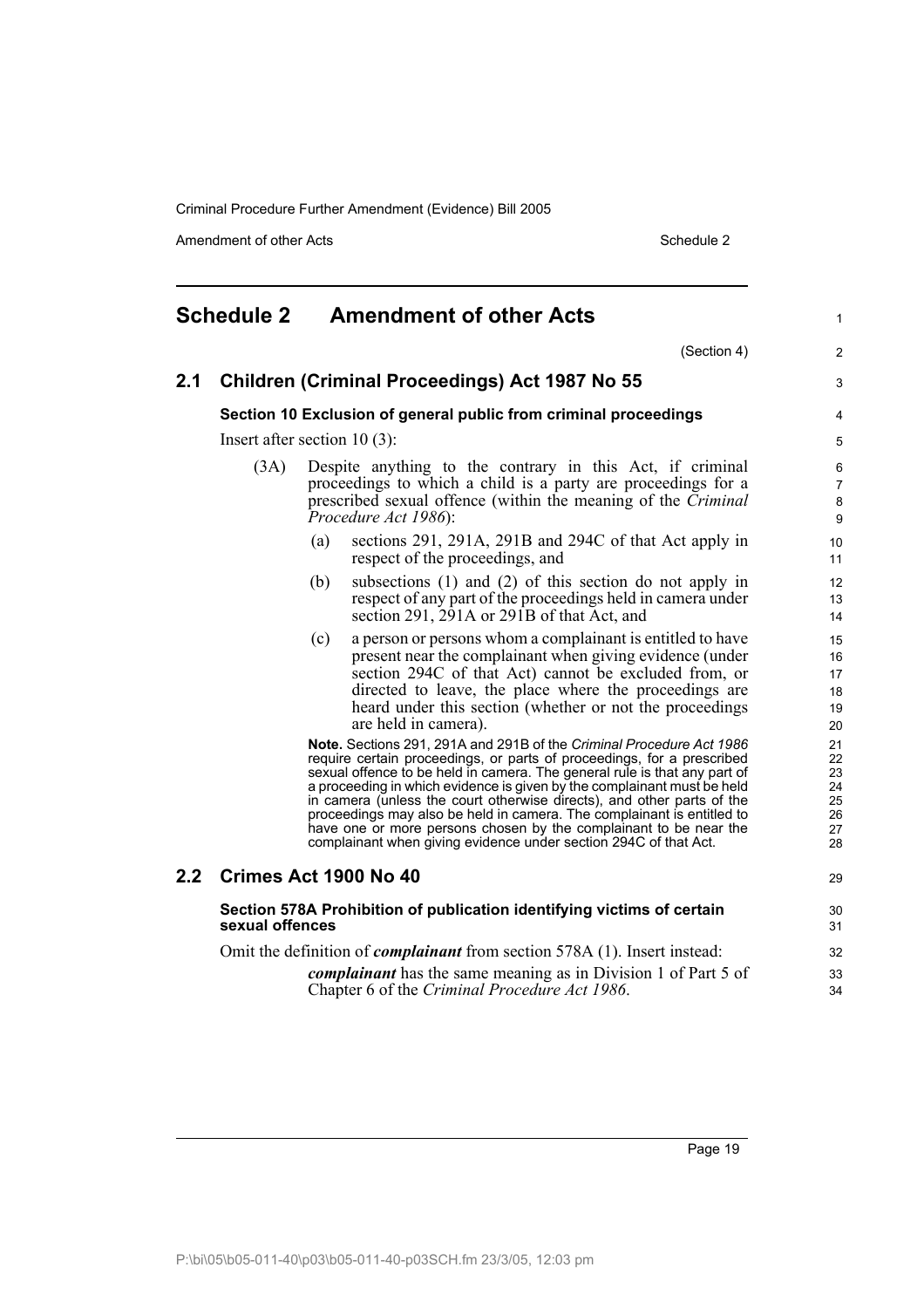Amendment of other Acts Schedule 2

| <b>Schedule 2</b> |                                                                                           | <b>Amendment of other Acts</b>                                                                                                                                                                                                                                                                                                                                                                                                                                                                                                                                                                      |                                              |  |  |
|-------------------|-------------------------------------------------------------------------------------------|-----------------------------------------------------------------------------------------------------------------------------------------------------------------------------------------------------------------------------------------------------------------------------------------------------------------------------------------------------------------------------------------------------------------------------------------------------------------------------------------------------------------------------------------------------------------------------------------------------|----------------------------------------------|--|--|
|                   |                                                                                           | (Section 4)                                                                                                                                                                                                                                                                                                                                                                                                                                                                                                                                                                                         | $\overline{2}$                               |  |  |
| 2.1               |                                                                                           | <b>Children (Criminal Proceedings) Act 1987 No 55</b>                                                                                                                                                                                                                                                                                                                                                                                                                                                                                                                                               | 3                                            |  |  |
|                   |                                                                                           | Section 10 Exclusion of general public from criminal proceedings                                                                                                                                                                                                                                                                                                                                                                                                                                                                                                                                    | 4                                            |  |  |
|                   |                                                                                           | Insert after section $10(3)$ :                                                                                                                                                                                                                                                                                                                                                                                                                                                                                                                                                                      |                                              |  |  |
|                   | (3A)                                                                                      | Despite anything to the contrary in this Act, if criminal<br>proceedings to which a child is a party are proceedings for a<br>prescribed sexual offence (within the meaning of the <i>Criminal</i><br>Procedure Act 1986):                                                                                                                                                                                                                                                                                                                                                                          | 6<br>$\overline{7}$<br>8<br>9                |  |  |
|                   |                                                                                           | sections 291, 291A, 291B and 294C of that Act apply in<br>(a)<br>respect of the proceedings, and                                                                                                                                                                                                                                                                                                                                                                                                                                                                                                    | 10<br>11                                     |  |  |
|                   |                                                                                           | subsections $(1)$ and $(2)$ of this section do not apply in<br>(b)<br>respect of any part of the proceedings held in camera under<br>section 291, 291A or 291B of that Act, and                                                                                                                                                                                                                                                                                                                                                                                                                     | 12<br>13<br>14                               |  |  |
|                   |                                                                                           | a person or persons whom a complainant is entitled to have<br>(c)<br>present near the complainant when giving evidence (under<br>section 294C of that Act) cannot be excluded from, or<br>directed to leave, the place where the proceedings are<br>heard under this section (whether or not the proceedings<br>are held in camera).                                                                                                                                                                                                                                                                | 15<br>16<br>17<br>18<br>19<br>20             |  |  |
|                   |                                                                                           | Note. Sections 291, 291A and 291B of the Criminal Procedure Act 1986<br>require certain proceedings, or parts of proceedings, for a prescribed<br>sexual offence to be held in camera. The general rule is that any part of<br>a proceeding in which evidence is given by the complainant must be held<br>in camera (unless the court otherwise directs), and other parts of the<br>proceedings may also be held in camera. The complainant is entitled to<br>have one or more persons chosen by the complainant to be near the<br>complainant when giving evidence under section 294C of that Act. | 21<br>22<br>23<br>24<br>25<br>26<br>27<br>28 |  |  |
| 2.2               |                                                                                           | Crimes Act 1900 No 40                                                                                                                                                                                                                                                                                                                                                                                                                                                                                                                                                                               | 29                                           |  |  |
|                   | Section 578A Prohibition of publication identifying victims of certain<br>sexual offences |                                                                                                                                                                                                                                                                                                                                                                                                                                                                                                                                                                                                     |                                              |  |  |
|                   |                                                                                           | Omit the definition of <i>complainant</i> from section 578A (1). Insert instead:                                                                                                                                                                                                                                                                                                                                                                                                                                                                                                                    | 32                                           |  |  |
|                   |                                                                                           | <b><i>complainant</i></b> has the same meaning as in Division 1 of Part 5 of<br>Chapter 6 of the Criminal Procedure Act 1986.                                                                                                                                                                                                                                                                                                                                                                                                                                                                       | 33<br>34                                     |  |  |